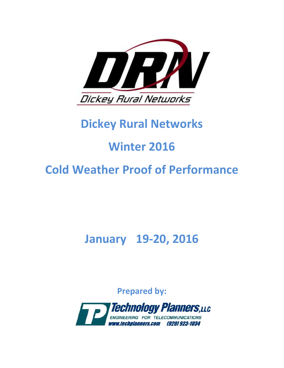

# **Dickey Rural Networks**

# **Winter 2016**

# **COLO COLO COLO COLO COLO COLO WEATER COLO COLO WEATHER PROOF Of Performance**<br> **Cold Weather Proof of Performance**

## **January 19-20, 2016**

**Prepared by:**

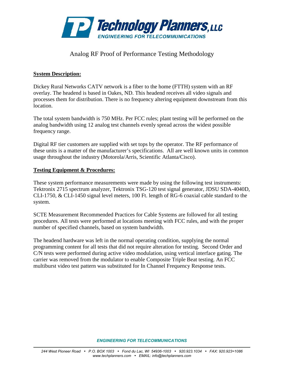

#### Analog RF Proof of Performance Testing Methodology

#### **System Description:**

Dickey Rural Networks CATV network is a fiber to the home (FTTH) system with an RF overlay. The headend is based in Oakes, ND. This headend receives all video signals and processes them for distribution. There is no frequency altering equipment downstream from this location.

The total system bandwidth is 750 MHz. Per FCC rules; plant testing will be performed on the analog bandwidth using 12 analog test channels evenly spread across the widest possible frequency range.

Digital RF tier customers are supplied with set tops by the operator. The RF performance of these units is a matter of the manufacturer's specifications. All are well known units in common usage throughout the industry (Motorola/Arris, Scientific Atlanta/Cisco).

#### **Testing Equipment & Procedures:**

These system performance measurements were made by using the following test instruments: Tektronix 2715 spectrum analyzer, Tektronix TSG-120 test signal generator, JDSU SDA-4040D, CLI-1750, & CLI-1450 signal level meters, 100 Ft. length of RG-6 coaxial cable standard to the system.

SCTE Measurement Recommended Practices for Cable Systems are followed for all testing procedures. All tests were performed at locations meeting with FCC rules, and with the proper number of specified channels, based on system bandwidth.

The headend hardware was left in the normal operating condition, supplying the normal programming content for all tests that did not require alteration for testing. Second Order and C/N tests were performed during active video modulation, using vertical interface gating. The carrier was removed from the modulator to enable Composite Triple Beat testing. An FCC multiburst video test pattern was substituted for In Channel Frequency Response tests.

*ENGINEERING FOR TELECOMMUNICATIONS*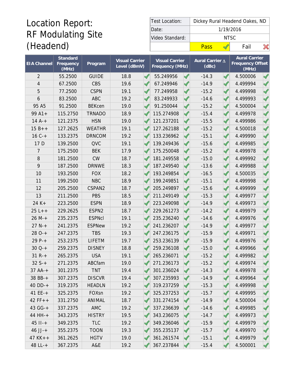## Location Report: RF Modulating Site (Headend)

| Test Location:  |      | Dickey Rural Headend Oakes, ND |      |  |  |  |  |  |
|-----------------|------|--------------------------------|------|--|--|--|--|--|
| Date:           |      | 1/19/2016                      |      |  |  |  |  |  |
| Video Standard: |      | NTSC.                          |      |  |  |  |  |  |
|                 | Pass |                                | Fail |  |  |  |  |  |

|                    | Standard           |               | <b>Visual Carrier</b> | <b>Visual Carrier</b> |                      | Aural Carrier △ |  | <b>Aural Carrier</b>             |  |
|--------------------|--------------------|---------------|-----------------------|-----------------------|----------------------|-----------------|--|----------------------------------|--|
| <b>EIA</b> Channel | Frequency<br>(MHz) | Program       | Level (dBmV)          | Frequency (MHz)       |                      | (dBc)           |  | <b>Frequency Offset</b><br>(MHz) |  |
| $\overline{2}$     | 55.2500            | <b>GUIDE</b>  | 18.8                  | 55.249956             |                      | $-14.3$         |  | 4.500006                         |  |
| $\overline{4}$     | 67.2500            | <b>CBS</b>    | 19.6                  | 67.249946             | ℐ                    | $-14.9$         |  | 4.499994                         |  |
| 5                  | 77.2500            | <b>CSPN</b>   | 19.1                  | 77.249958             |                      | $-15.2$         |  | 4.499998                         |  |
| 6                  | 83.2500            | <b>ABC</b>    | 19.2                  | 83.249933             |                      | $-14.6$         |  | 4.499993                         |  |
| 95 A5              | 91.2500            | <b>BEKcen</b> | 19.0                  | 91.250044             | $\mathscr{I}$        | $-15.2$         |  | 4.500004                         |  |
| $99A1+$            | 115.2750           | <b>TRNADO</b> | 18.9                  | 115.274908            |                      | $-15.4$         |  | 4.499978                         |  |
| $14A^{-+}$         | 121.2375           | <b>HSN</b>    | 19.0                  | 121.237201            |                      | $-15.5$         |  | 4.499986                         |  |
| $15B++$            | 127.2625           | <b>WEATHR</b> | 19.1                  | 127.262188            |                      | $-15.2$         |  | 4.500018                         |  |
| $16C +$            | 133.2375           | <b>DRNCOM</b> | 19.2                  | 133.236962            |                      | $-15.1$         |  | 4.499990                         |  |
| 17 D               | 139.2500           | <b>QVC</b>    | 19.1                  | 139.249436            |                      | $-15.6$         |  | 4.499985                         |  |
| 7                  | 175.2500           | <b>BEK</b>    | 17.9                  | 175.250048            |                      | $-15.2$         |  | 4.499978                         |  |
| 8                  | 181.2500           | <b>CW</b>     | 18.7                  | 181.249558            |                      | $-15.0$         |  | 4.499992                         |  |
| 9                  | 187.2500           | <b>DRNWE</b>  | 18.3                  | 187.249540            |                      | $-13.6$         |  | 4.499988                         |  |
| 10                 | 193.2500           | <b>FOX</b>    | 18.2                  | 193.249854            |                      | $-16.5$         |  | 4.500035                         |  |
| 11                 | 199.2500           | <b>NBC</b>    | 18.9                  | 199.249851            |                      | $-15.1$         |  | 4.499998                         |  |
| 12                 | 205.2500           | CSPAN2        | 18.7                  | 205.249897            | ℐ                    | $-15.6$         |  | 4.499999                         |  |
| 13                 | 211.2500           | <b>PBS</b>    | 18.5                  | 211.249149            |                      | $-15.3$         |  | 4.499977                         |  |
| $24 K +$           | 223.2500           | <b>ESPN</b>   | 18.9                  | 223.249098            |                      | $-14.9$         |  | 4.499973                         |  |
| $25L++$            | 229.2625           | ESPN2         | 18.7                  | 229.261273            | ✔                    | $-14.2$         |  | 4.499979                         |  |
| $26 M +$           | 235.2375           | <b>ESPNcl</b> | 19.1                  | 235.236240            |                      | $-14.6$         |  | 4.499976                         |  |
| $27 N +$           | 241.2375           | <b>ESPNew</b> | 19.2                  | 241.236207            |                      | $-14.9$         |  | 4.499977                         |  |
| $280-+$            | 247.2375           | <b>TBS</b>    | 19.3                  | 247.236175            |                      | $-15.9$         |  | 4.499971                         |  |
| $29P-+$            | 253.2375           | <b>LIFETM</b> | 19.7                  | 253.236139            |                      | $-15.9$         |  | 4.499976                         |  |
| $30Q-+$            | 259.2375           | <b>DISNEY</b> | 18.8                  | 259.236108            |                      | $-15.0$         |  | 4.499966                         |  |
| $31 R +$           | 265.2375           | <b>USA</b>    | 19.1                  | 265.236071            |                      | $-15.2$         |  | 4.499982                         |  |
| $32S+$             | 271.2375           | ABCfam        | 19.0                  | 271.236173            |                      | $-15.2$         |  | 4.499974                         |  |
| $37AA^{-}+$        | 301.2375           | TNT           | 19.4                  | 301.236024            | $\blacktriangleleft$ | $-14.3$         |  | 4.499978                         |  |
| 38 BB-+            | 307.2375           | <b>DISCVR</b> | 19.4                  | 307.235993            | $\blacktriangleleft$ | $-14.9$         |  | 4.499964                         |  |
| $40$ DD-+          | 319.2375           | <b>HEADLN</b> | 19.2                  | 319.237259            | ✔                    | $-15.3$         |  | 4.499998                         |  |
| 41 $EE - +$        | 325.2375           | FOXsn         | 19.2                  | 325.237253            |                      | $-15.7$         |  | 4.499995                         |  |
| $42 FF++$          | 331.2750           | ANIMAL        | 18.7                  | 331.274154            | $\blacktriangleleft$ | $-14.9$         |  | 4.500004                         |  |
| $43 G - +$         | 337.2375           | AMC           | 19.2                  | 337.236639            | $\blacktriangleleft$ | $-14.6$         |  | 4.499985                         |  |
| $44$ HH- $+$       | 343.2375           | <b>HISTRY</b> | 19.5                  | 343.236075            |                      | $-14.7$         |  | 4.499973                         |  |
| $45$ $II - +$      | 349.2375           | <b>TLC</b>    | 19.2                  | 349.236046            | √                    | $-15.9$         |  | 4.499979                         |  |
| $46$ JJ-+          | 355.2375           | <b>TOON</b>   | 19.3                  | 355.235137            | $\blacktriangleleft$ | $-15.7$         |  | 4.499970                         |  |
| $47$ KK + +        | 361.2625           | <b>HGTV</b>   | 19.0                  | 361.261574            |                      | $-15.1$         |  | 4.499979                         |  |
| $48 L - +$         | 367.2375           | A&E           | 19.2                  | 367.237844            | $\blacktriangleleft$ | $-15.4$         |  | 4.500001                         |  |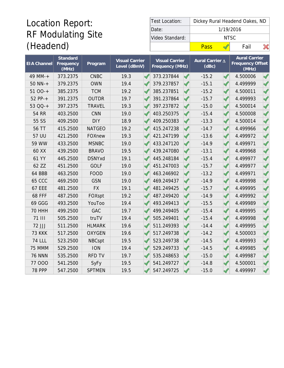## Location Report: RF Modulating Site (Headend)

| Test Location:  |      | Dickey Rural Headend Oakes, ND |      |  |  |  |  |  |
|-----------------|------|--------------------------------|------|--|--|--|--|--|
| Date:           |      | 1/19/2016                      |      |  |  |  |  |  |
| Video Standard: |      | NTSC.                          |      |  |  |  |  |  |
|                 | Pass |                                | Fail |  |  |  |  |  |

| <b>EIA Channel</b> | Standard<br>Frequency<br>$\overline{\text{(MHz)}}$ | Program       | <b>Visual Carrier</b><br>Level (dBmV) | <b>Visual Carrier</b><br>Frequency (MHz) |                          | Aural Carrier A<br>(dBc) |  | <b>Aural Carrier</b><br><b>Frequency Offset</b><br>(MHz) |  |
|--------------------|----------------------------------------------------|---------------|---------------------------------------|------------------------------------------|--------------------------|--------------------------|--|----------------------------------------------------------|--|
| 49 MM-+            | 373.2375                                           | <b>CNBC</b>   | 19.3                                  | 373.237844                               |                          | $-15.2$                  |  | 4.500006                                                 |  |
| $50$ NN-+          | 379.2375                                           | <b>OWN</b>    | 19.4                                  | 379.237857                               | ✔                        | $-15.1$                  |  | 4.499999                                                 |  |
| $5100-+$           | 385.2375                                           | <b>TCM</b>    | 19.2                                  | 385.237851                               | ℐ                        | $-15.2$                  |  | 4.500011                                                 |  |
| $52 PP-+$          | 391.2375                                           | <b>OUTDR</b>  | 19.7                                  | 391.237864                               | $\overline{\mathscr{A}}$ | $-15.7$                  |  | 4.499993                                                 |  |
| 53 QQ-+            | 397.2375                                           | <b>TRAVEL</b> | 19.3                                  | 397.237872                               | S                        | $-15.0$                  |  | 4.500014                                                 |  |
| <b>54 RR</b>       | 403.2500                                           | CNN           | 19.0                                  | 403.250375                               | S                        | $-15.4$                  |  | 4.500008                                                 |  |
| 55 SS              | 409.2500                                           | <b>DIY</b>    | 18.9                                  | 409.250383                               |                          | $-13.3$                  |  | 4.500014                                                 |  |
| 56 TT              | 415.2500                                           | <b>NATGEO</b> | 19.2                                  | 415.247238                               |                          | $-14.7$                  |  | 4.499966                                                 |  |
| 57 UU              | 421.2500                                           | <b>FOXnew</b> | 19.3                                  | 421.247199                               | $\mathscr{A}$            | $-13.6$                  |  | 4.499972                                                 |  |
| 59 WW              | 433.2500                                           | <b>MSNBC</b>  | 19.0                                  | 433.247120                               |                          | $-14.9$                  |  | 4.499971                                                 |  |
| 60 XX              | 439.2500                                           | <b>BRAVO</b>  | 19.5                                  | 439.247080                               |                          | $-13.1$                  |  | 4.499968                                                 |  |
| 61 YY              | 445.2500                                           | <b>DSNYxd</b> | 19.1                                  | 445.248184                               |                          | $-15.4$                  |  | 4.499977                                                 |  |
| 62 ZZ              | 451.2500                                           | <b>GOLF</b>   | 19.0                                  | 451.247003                               | $\overline{\mathscr{A}}$ | $-15.7$                  |  | 4.499977                                                 |  |
| 64 BBB             | 463.2500                                           | <b>FOOD</b>   | 19.0                                  | 463.246902                               |                          | $-13.2$                  |  | 4.499971                                                 |  |
| <b>65 CCC</b>      | 469.2500                                           | GSN           | 19.0                                  | 469.249437                               | $\overline{\mathscr{A}}$ | $-14.9$                  |  | 4.499998                                                 |  |
| <b>67 EEE</b>      | 481.2500                                           | <b>FX</b>     | 19.1                                  | 481.249425                               | √                        | $-15.7$                  |  | 4.499995                                                 |  |
| <b>68 FFF</b>      | 487.2500                                           | FOXspt        | 19.2                                  | 487.249420                               | $\mathscr{I}$            | $-14.9$                  |  | 4.499992                                                 |  |
| 69 GGG             | 493.2500                                           | YouToo        | 19.4                                  | 493.249413                               | $\mathscr{I}$            | $-15.5$                  |  | 4.499989                                                 |  |
| <b>70 HHH</b>      | 499.2500                                           | <b>GAC</b>    | 19.7                                  | 499.249405                               |                          | $-15.4$                  |  | 4.499995                                                 |  |
| <b>71 III</b>      | 505.2500                                           | truTV         | 19.4                                  | 505.249401                               | $\mathscr{I}$            | $-15.4$                  |  | 4.499998                                                 |  |
| 72 JJJ             | 511.2500                                           | <b>HLMARK</b> | 19.6                                  | 511.249393                               |                          | $-14.4$                  |  | 4.499995                                                 |  |
| <b>73 KKK</b>      | 517.2500                                           | <b>OXYGEN</b> | 19.6                                  | 517.249738                               |                          | $-14.2$                  |  | 4.500003                                                 |  |
| <b>74 LLL</b>      | 523.2500                                           | <b>NBCspt</b> | 19.5                                  | 523.249738                               |                          | $-14.5$                  |  | 4.499993                                                 |  |
| 75 MMM             | 529.2500                                           | <b>ION</b>    | 19.4                                  | 529.249733                               | $\overline{\mathscr{A}}$ | $-14.5$                  |  | 4.499985                                                 |  |
| <b>76 NNN</b>      | 535.2500                                           | <b>RFD TV</b> | 19.7                                  | 535.248653                               |                          | $-15.0$                  |  | 4.499987                                                 |  |
| 77 000             | 541.2500                                           | SyFy          | 19.5                                  | 541.249727                               |                          | $-14.8$                  |  | 4.500001                                                 |  |
| <b>78 PPP</b>      | 547.2500                                           | <b>SPTMEN</b> | 19.5                                  | 547.249725                               |                          | $-15.0$                  |  | 4.499997                                                 |  |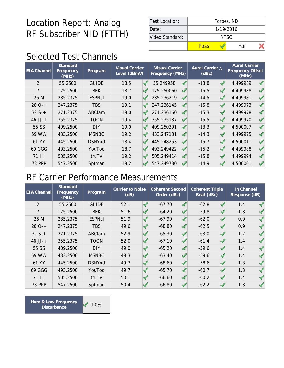| Test Location:  |       | Forbes, ND |  |  |  |  |  |  |  |
|-----------------|-------|------------|--|--|--|--|--|--|--|
| Date:           |       | 1/19/2016  |  |  |  |  |  |  |  |
| Video Standard: | NTSC. |            |  |  |  |  |  |  |  |
|                 | Pass  | Fail       |  |  |  |  |  |  |  |

### Selected Test Channels

| <b>EIA Channel</b> | Standard<br>Frequency<br>(MHz) | Program       | <b>Visual Carrier</b><br>Level (dBmV) | <b>Visual Carrier</b><br>Frequency (MHz) |  | Aural Carrier A<br>(dBc) |  | <b>Aural Carrier</b><br>Frequency Offset<br>(MHz) |  |
|--------------------|--------------------------------|---------------|---------------------------------------|------------------------------------------|--|--------------------------|--|---------------------------------------------------|--|
| $\overline{2}$     | 55.2500                        | <b>GUIDE</b>  | 18.5                                  | 55.249958                                |  | $-13.8$                  |  | 4.499989                                          |  |
| 7                  | 175.2500                       | <b>BEK</b>    | 18.7                                  | 175.250060                               |  | $-15.5$                  |  | 4.499988                                          |  |
| 26 M               | 235.2375                       | <b>ESPNcI</b> | 19.0                                  | 235.236219                               |  | $-14.5$                  |  | 4.499981                                          |  |
| $280-+$            | 247.2375                       | <b>TBS</b>    | 19.1                                  | 247.236145                               |  | $-15.8$                  |  | 4.499973                                          |  |
| $32S+$             | 271.2375                       | ABCfam        | 19.0                                  | 271.236160                               |  | $-15.3$                  |  | 4.499978                                          |  |
| $46$ JJ-+          | 355.2375                       | <b>TOON</b>   | 19.4                                  | 355.235137                               |  | $-15.5$                  |  | 4.499970                                          |  |
| 55 SS              | 409.2500                       | <b>DIY</b>    | 19.0                                  | 409.250391                               |  | $-13.3$                  |  | 4.500007                                          |  |
| 59 WW              | 433.2500                       | <b>MSNBC</b>  | 19.2                                  | 433.247131                               |  | $-14.3$                  |  | 4.499975                                          |  |
| 61 YY              | 445.2500                       | <b>DSNYxd</b> | 18.4                                  | 445.248253                               |  | $-15.7$                  |  | 4.500011                                          |  |
| 69 GGG             | 493.2500                       | YouToo        | 18.7                                  | 493.249422                               |  | $-15.2$                  |  | 4.499988                                          |  |
| 71 III             | 505.2500                       | truTV         | 19.2                                  | 505.249414                               |  | $-15.8$                  |  | 4.499994                                          |  |
| <b>78 PPP</b>      | 547.2500                       | Sptman        | 19.2                                  | 547.249730                               |  | $-14.9$                  |  | 4.500001                                          |  |

#### RF Carrier Performance Measurements

| <b>EIA Channel</b> | Standard<br>Frequency<br>(MHz) | Program       | Carrier to Noise<br>(dB) | <b>Coherent Second</b><br>Order (dBc) | <b>Coherent Triple</b><br>Beat (dBc) | In Channel<br>Response (dB) |  |
|--------------------|--------------------------------|---------------|--------------------------|---------------------------------------|--------------------------------------|-----------------------------|--|
| $\overline{2}$     | 55.2500                        | <b>GUIDE</b>  | 52.1                     | $-67.70$                              | $-62.8$                              | 1.4                         |  |
| 7                  | 175.2500                       | <b>BEK</b>    | 51.6                     | $-64.20$                              | $-59.8$                              | 1.3                         |  |
| 26 M               | 235.2375                       | <b>ESPNcI</b> | 51.9                     | $-67.90$                              | $-62.0$                              | 0.9                         |  |
| $280-+$            | 247.2375                       | <b>TBS</b>    | 49.6                     | $-68.80$                              | $-62.5$                              | 0.9                         |  |
| $32S+$             | 271.2375                       | ABCfam        | 52.9                     | $-65.30$                              | $-63.0$                              | 1.2                         |  |
| $46$ JJ-+          | 355.2375                       | <b>TOON</b>   | 52.0                     | $-67.10$                              | $-61.4$                              | 1.4                         |  |
| 55 SS              | 409.2500                       | <b>DIY</b>    | 49.0                     | $-65.20$                              | $-59.6$                              | 1.4                         |  |
| 59 WW              | 433.2500                       | <b>MSNBC</b>  | 48.3                     | $-63.40$                              | $-59.6$                              | 1.4                         |  |
| 61 YY              | 445.2500                       | <b>DSNYxd</b> | 49.7                     | $-68.60$                              | $-58.6$                              | 1.3                         |  |
| 69 GGG             | 493.2500                       | YouToo        | 49.7                     | $-65.70$                              | $-60.7$                              | 1.3                         |  |
| <b>71 III</b>      | 505.2500                       | truTV         | 50.1                     | $-66.60$                              | $-60.2$                              | 1.4                         |  |
| <b>78 PPP</b>      | 547.2500                       | Sptman        | 50.4                     | $-66.80$                              | $-62.2$                              | 1.3                         |  |

 $1.0\%$ **Hum & Low Frequency Disturbance**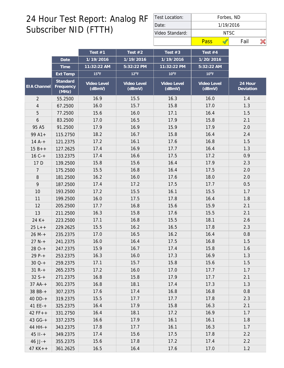| Test Location:  |      | Forbes, ND |      |  |  |  |  |  |  |
|-----------------|------|------------|------|--|--|--|--|--|--|
| Date:           |      | 1/19/2016  |      |  |  |  |  |  |  |
| Video Standard: |      | NTSC.      |      |  |  |  |  |  |  |
|                 | Pass |            | Fail |  |  |  |  |  |  |

|                |                                | Test $#1$             | Test $#2$             | Test $#3$             | Test $#4$             |                      |
|----------------|--------------------------------|-----------------------|-----------------------|-----------------------|-----------------------|----------------------|
|                | Date                           | 1/19/2016             | 1/19/2016             | 1/19/2016             | 1/20/2016             |                      |
|                | Time                           | 11:32:22 AM           | 5:32:22 PM            | 11:32:22 PM           | 5:32:22 AM            |                      |
|                | Ext Temp                       | $15^{\circ}$ F        | $12^{\circ}F$         | $10^{\circ}$ F        | $10^{\circ}$ F        |                      |
| EIA Channel    | Standard<br>Frequency<br>(MHz) | Video Level<br>(dBmV) | Video Level<br>(dBmV) | Video Level<br>(dBmV) | Video Level<br>(dBmV) | 24 Hour<br>Deviation |
| $\overline{2}$ | 55.2500                        | 16.9                  | 15.5                  | 16.3                  | 16.0                  | 1.4                  |
| $\overline{4}$ | 67.2500                        | 16.0                  | 15.7                  | 15.8                  | 17.0                  | 1.3                  |
| 5              | 77.2500                        | 15.6                  | 16.0                  | 17.1                  | 16.4                  | 1.5                  |
| $\mathfrak b$  | 83.2500                        | 17.0                  | 16.5                  | 17.9                  | 15.8                  | 2.1                  |
| 95 A5          | 91.2500                        | 17.9                  | 16.9                  | 15.9                  | 17.9                  | 2.0                  |
| $99A1+$        | 115.2750                       | 18.2                  | 16.7                  | 15.8                  | 16.4                  | 2.4                  |
| $14A^{-+}$     | 121.2375                       | 17.2                  | 16.1                  | 17.6                  | 16.8                  | 1.5                  |
| $15B++$        | 127.2625                       | 17.4                  | 16.9                  | 17.7                  | 16.4                  | 1.3                  |
| $16C +$        | 133.2375                       | 17.4                  | 16.6                  | 17.5                  | 17.2                  | 0.9                  |
| 17 D           | 139.2500                       | 15.8                  | 15.6                  | 16.4                  | 17.9                  | 2.3                  |
| 7              | 175.2500                       | 15.5                  | 16.8                  | 16.4                  | 17.5                  | 2.0                  |
| $\, 8$         | 181.2500                       | 16.2                  | 16.0                  | 17.6                  | 18.0                  | 2.0                  |
| 9              | 187.2500                       | 17.4                  | 17.2                  | 17.5                  | 17.7                  | 0.5                  |
| 10             | 193.2500                       | 17.2                  | 15.5                  | 16.1                  | 15.5                  | 1.7                  |
| 11             | 199.2500                       | 16.0                  | 17.5                  | 17.8                  | 16.4                  | 1.8                  |
| 12             | 205.2500                       | 17.7                  | 16.8                  | 15.6                  | 15.9                  | 2.1                  |
| 13             | 211.2500                       | 16.3                  | 15.8                  | 17.6                  | 15.5                  | 2.1                  |
| $24 K +$       | 223.2500                       | 17.1                  | 16.8                  | 15.5                  | 18.1                  | 2.6                  |
| $25 L++$       | 229.2625                       | 15.5                  | 16.2                  | 16.5                  | 17.8                  | 2.3                  |
| $26 M +$       | 235.2375                       | 17.0                  | 16.5                  | 16.2                  | 16.4                  | 0.8                  |
| $27 N +$       | 241.2375                       | 16.0                  | 16.4                  | 17.5                  | 16.8                  | 1.5                  |
| $280-+$        | 247.2375                       | 15.9                  | 16.7                  | 17.4                  | 15.8                  | 1.6                  |
| $29P-+$        | 253.2375                       | 16.3                  | 16.0                  | 17.3                  | 16.9                  | 1.3                  |
| $30Q-+$        | 259.2375                       | 17.1                  | 15.7                  | 15.8                  | 15.6                  | 1.5                  |
| $31 R +$       | 265.2375                       | 17.2                  | 16.0                  | 17.0                  | 17.7                  | 1.7                  |
| $32 S++$       | 271.2375                       | 16.8                  | 15.8                  | 17.9                  | 17.7                  | 2.1                  |
| $37 AA++$      | 301.2375                       | 16.8                  | 18.1                  | 17.4                  | 17.3                  | 1.3                  |
| 38 BB-+        | 307.2375                       | 17.6                  | 17.4                  | 16.8                  | 16.8                  | 0.8                  |
| $40$ DD-+      | 319.2375                       | 15.5                  | 17.7                  | 17.7                  | 17.8                  | 2.3                  |
| 41 $EE-+$      | 325.2375                       | 16.4                  | 17.9                  | 15.8                  | 16.3                  | 2.1                  |
| $42 FF++$      | 331.2750                       | 16.4                  | 18.1                  | 17.2                  | 16.9                  | 1.7                  |
| $43 G - +$     | 337.2375                       | 16.6                  | 17.9                  | 16.1                  | 16.1                  | 1.8                  |
| 44 HH-+        | 343.2375                       | 17.8                  | 17.7                  | 16.1                  | 16.3                  | 1.7                  |
| $45$ $11 - +$  | 349.2375                       | 17.4                  | 15.6                  | 17.5                  | 17.8                  | 2.2                  |
| $46$ JJ-+      | 355.2375                       | 15.6                  | 17.8                  | 17.2                  | 17.4                  | 2.2                  |
| $47$ KK + +    | 361.2625                       | 16.5                  | 16.4                  | 17.6                  | 17.0                  | 1.2                  |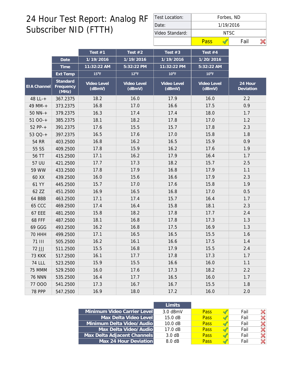| Test Location:  |       | Forbes, ND |  |  |  |  |  |  |  |
|-----------------|-------|------------|--|--|--|--|--|--|--|
| Date:           |       | 1/19/2016  |  |  |  |  |  |  |  |
| Video Standard: | NTSC. |            |  |  |  |  |  |  |  |
|                 | Pass  | Fail       |  |  |  |  |  |  |  |

|                    |                                | Test $#1$             | Test $#2$             | Test $#3$             | Test #4               |                      |
|--------------------|--------------------------------|-----------------------|-----------------------|-----------------------|-----------------------|----------------------|
|                    | Date                           | 1/19/2016             | 1/19/2016             | 1/19/2016             | 1/20/2016             |                      |
|                    | Time                           | 11:32:22 AM           | 5:32:22 PM            | 11:32:22 PM           | 5:32:22 AM            |                      |
|                    | Ext Temp                       | $15^{\circ}$ F        | $12^{\circ}$ F        | $10^{\circ}$ F        | $10^{\circ}$ F        |                      |
| <b>EIA Channel</b> | Standard<br>Frequency<br>(MHz) | Video Level<br>(dBmV) | Video Level<br>(dBmV) | Video Level<br>(dBmV) | Video Level<br>(dBmV) | 24 Hour<br>Deviation |
| 48 LL-+            | 367.2375                       | 18.2                  | 16.0                  | 17.9                  | 16.0                  | 2.2                  |
| 49 MM-+            | 373.2375                       | 16.8                  | 17.0                  | 16.6                  | 17.5                  | 0.9                  |
| $50$ NN- $+$       | 379.2375                       | 16.3                  | 17.4                  | 17.4                  | 18.0                  | 1.7                  |
| $5100-+$           | 385.2375                       | 18.1                  | 18.2                  | 17.8                  | 17.0                  | 1.2                  |
| $52 PP-+$          | 391.2375                       | 17.6                  | 15.5                  | 15.7                  | 17.8                  | 2.3                  |
| 53 QQ-+            | 397.2375                       | 16.5                  | 17.6                  | 17.0                  | 15.8                  | 1.8                  |
| <b>54 RR</b>       | 403.2500                       | 16.8                  | 16.2                  | 16.5                  | 15.9                  | 0.9                  |
| 55 SS              | 409.2500                       | 17.8                  | 15.9                  | 16.2                  | 17.6                  | 1.9                  |
| 56 TT              | 415.2500                       | 17.1                  | 16.2                  | 17.9                  | 16.4                  | 1.7                  |
| 57 UU              | 421.2500                       | 17.7                  | 17.3                  | 18.2                  | 15.7                  | 2.5                  |
| 59 WW              | 433.2500                       | 17.8                  | 17.9                  | 16.8                  | 17.9                  | 1.1                  |
| 60 XX              | 439.2500                       | 16.0                  | 15.6                  | 16.6                  | 17.9                  | 2.3                  |
| 61 YY              | 445.2500                       | 15.7                  | 17.0                  | 17.6                  | 15.8                  | 1.9                  |
| 62 ZZ              | 451.2500                       | 16.9                  | 16.5                  | 16.8                  | 17.0                  | 0.5                  |
| 64 BBB             | 463.2500                       | 17.1                  | 17.4                  | 15.7                  | 16.4                  | 1.7                  |
| <b>65 CCC</b>      | 469.2500                       | 17.4                  | 16.4                  | 15.8                  | 18.1                  | 2.3                  |
| <b>67 EEE</b>      | 481.2500                       | 15.8                  | 18.2                  | 17.8                  | 17.7                  | 2.4                  |
| <b>68 FFF</b>      | 487.2500                       | 18.1                  | 16.8                  | 17.8                  | 17.3                  | 1.3                  |
| 69 GGG             | 493.2500                       | 16.2                  | 16.8                  | 17.5                  | 16.9                  | 1.3                  |
| <b>70 HHH</b>      | 499.2500                       | 17.1                  | 16.5                  | 16.5                  | 15.5                  | 1.6                  |
| <b>71 III</b>      | 505.2500                       | 16.2                  | 16.1                  | 16.6                  | 17.5                  | 1.4                  |
| 72 JJJ             | 511.2500                       | 15.5                  | 16.8                  | 17.9                  | 15.5                  | 2.4                  |
| <b>73 KKK</b>      | 517.2500                       | 16.1                  | 17.7                  | 17.8                  | 17.3                  | 1.7                  |
| <b>74 LLL</b>      | 523.2500                       | 15.9                  | 15.5                  | 16.6                  | 16.0                  | 1.1                  |
| 75 MMM             | 529.2500                       | 16.0                  | 17.6                  | 17.3                  | 18.2                  | 2.2                  |
| <b>76 NNN</b>      | 535.2500                       | 16.4                  | 17.7                  | 16.5                  | 16.0                  | 1.7                  |
| 77 000             | 541.2500                       | 17.3                  | 16.7                  | 16.7                  | 15.5                  | 1.8                  |
| <b>78 PPP</b>      | 547.2500                       | 16.9                  | 18.0                  | 17.2                  | 16.0                  | 2.0                  |

|                             | <b>Limits</b>     |             |      |  |
|-----------------------------|-------------------|-------------|------|--|
| Minimum Video Carrier Level | $3.0$ dBmV        | <b>Pass</b> | Fail |  |
| Max Delta Video Level       | $15.0 \text{ dB}$ | <b>Pass</b> | Fail |  |
| Minimum Delta Video/Audio   | 10.0 dB           | <b>Pass</b> | Fail |  |
| Max Delta Video/Audio       | $17.0 \text{ dB}$ | <b>Pass</b> | Fail |  |
| Max Delta Adjacent Channels | $3.0 \text{ dB}$  | <b>Pass</b> | Fail |  |
| Max 24 Hour Deviation       | 8.0 dB            | <b>Pass</b> | Fail |  |
|                             |                   |             |      |  |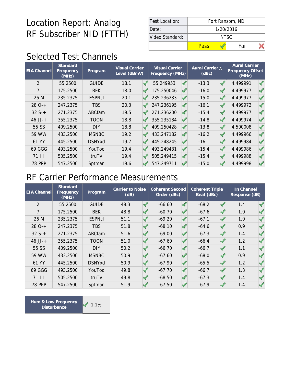| Test Location:  | Fort Ransom, ND |  |      |  |  |  |  |  |
|-----------------|-----------------|--|------|--|--|--|--|--|
| Date:           | 1/20/2016       |  |      |  |  |  |  |  |
| Video Standard: | NTSC.           |  |      |  |  |  |  |  |
|                 | Pass            |  | Fail |  |  |  |  |  |

### Selected Test Channels

| <b>EIA</b> Channel | Standard<br>Frequency<br>(MHz) | Program       | Visual Carrier<br>Level (dBmV) | <b>Visual Carrier</b><br>Frequency (MHz) |  | Aural Carrier A<br>(dBc) |  | <b>Aural Carrier</b><br>Frequency Offset<br>(MHz) |  |
|--------------------|--------------------------------|---------------|--------------------------------|------------------------------------------|--|--------------------------|--|---------------------------------------------------|--|
| 2                  | 55.2500                        | <b>GUIDE</b>  | 18.1                           | 55.249953                                |  | $-13.3$                  |  | 4.499991                                          |  |
| 7                  | 175.2500                       | <b>BEK</b>    | 18.0                           | 175.250046                               |  | $-16.0$                  |  | 4.499977                                          |  |
| 26 M               | 235.2375                       | <b>ESPNcI</b> | 20.1                           | 235.236233                               |  | $-15.0$                  |  | 4.499977                                          |  |
| $280-+$            | 247.2375                       | <b>TBS</b>    | 20.3                           | 247.236195                               |  | $-16.1$                  |  | 4.499972                                          |  |
| $32S+$             | 271.2375                       | ABCfam        | 19.5                           | 271.236200                               |  | $-15.4$                  |  | 4.499977                                          |  |
| $46$ JJ-+          | 355.2375                       | <b>TOON</b>   | 18.8                           | 355.235184                               |  | $-14.8$                  |  | 4.499974                                          |  |
| 55 SS              | 409.2500                       | <b>DIY</b>    | 18.8                           | 409.250428                               |  | $-13.8$                  |  | 4.500008                                          |  |
| 59 WW              | 433.2500                       | <b>MSNBC</b>  | 19.2                           | 433.247182                               |  | $-16.2$                  |  | 4.499966                                          |  |
| 61 YY              | 445.2500                       | <b>DSNYxd</b> | 19.7                           | 445.248245                               |  | $-16.1$                  |  | 4.499984                                          |  |
| 69 GGG             | 493.2500                       | YouToo        | 19.4                           | 493.249431                               |  | $-15.4$                  |  | 4.499986                                          |  |
| 71 III             | 505.2500                       | truTV         | 19.4                           | 505.249415                               |  | $-15.4$                  |  | 4.499988                                          |  |
| <b>78 PPP</b>      | 547.2500                       | Sptman        | 19.6                           | 547.249711                               |  | $-15.0$                  |  | 4.499998                                          |  |

#### RF Carrier Performance Measurements

| <b>EIA Channel</b> | <b>Standard</b><br>Frequency<br>(MHz) | Program       | <b>Carrier to Noise</b><br>(dB) |  | Coherent Second<br>Order (dBc) |  | <b>Coherent Triple</b><br>Beat (dBc) |  | In Channel<br>Response (dB) |  |
|--------------------|---------------------------------------|---------------|---------------------------------|--|--------------------------------|--|--------------------------------------|--|-----------------------------|--|
| $\overline{2}$     | 55.2500                               | <b>GUIDE</b>  | 48.3                            |  | $-66.60$                       |  | $-68.2$                              |  | 1.4                         |  |
| $\overline{7}$     | 175.2500                              | <b>BEK</b>    | 48.8                            |  | $-60.70$                       |  | $-67.6$                              |  | 1.0                         |  |
| 26 M               | 235.2375                              | <b>ESPNcI</b> | 51.1                            |  | $-69.20$                       |  | $-67.1$                              |  | 1.0                         |  |
| $280-+$            | 247.2375                              | <b>TBS</b>    | 51.8                            |  | $-68.10$                       |  | $-64.6$                              |  | 0.9                         |  |
| $32S+$             | 271.2375                              | ABCfam        | 51.6                            |  | $-69.00$                       |  | $-67.3$                              |  | 1.4                         |  |
| $46$ JJ-+          | 355.2375                              | <b>TOON</b>   | 51.0                            |  | $-67.60$                       |  | $-66.4$                              |  | 1.2                         |  |
| 55 SS              | 409.2500                              | <b>DIY</b>    | 50.2                            |  | $-66.70$                       |  | $-66.7$                              |  | 1.1                         |  |
| 59 WW              | 433.2500                              | <b>MSNBC</b>  | 50.9                            |  | $-67.60$                       |  | $-68.0$                              |  | 0.9                         |  |
| 61 YY              | 445.2500                              | <b>DSNYxd</b> | 50.9                            |  | $-67.90$                       |  | $-65.5$                              |  | 1.2                         |  |
| 69 GGG             | 493.2500                              | YouToo        | 49.8                            |  | $-67.70$                       |  | $-66.7$                              |  | 1.3                         |  |
| <b>71 III</b>      | 505.2500                              | truTV         | 49.8                            |  | $-68.50$                       |  | $-67.3$                              |  | 1.4                         |  |
| <b>78 PPP</b>      | 547.2500                              | Sptman        | 51.9                            |  | $-67.50$                       |  | $-67.9$                              |  | 1.4                         |  |

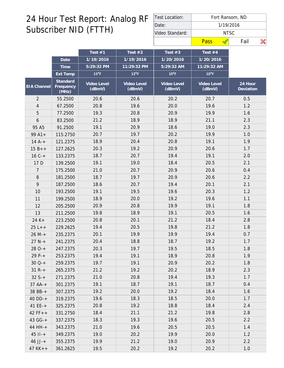| Test Location:  | Fort Ransom, ND |      |  |  |  |  |  |  |  |
|-----------------|-----------------|------|--|--|--|--|--|--|--|
| Date:           | 1/19/2016       |      |  |  |  |  |  |  |  |
| Video Standard: | NTSC            |      |  |  |  |  |  |  |  |
|                 | Pass            | Fail |  |  |  |  |  |  |  |

|                    |                                | Test $#1$             | Test $#2$             | Test $#3$             | Test $#4$             |                      |
|--------------------|--------------------------------|-----------------------|-----------------------|-----------------------|-----------------------|----------------------|
|                    | Date                           | 1/19/2016             | 1/19/2016             | 1/20/2016             | 1/20/2016             |                      |
|                    | Time                           | 5:29:32 PM            | 11:29:32 PM           | 5:29:32 AM            | 11:29:32 AM           |                      |
|                    | Ext Temp                       | $15^{\circ}$ F        | $12^{\circ}F$         | $10^{\circ}$ F        | $10^{\circ}$ F        |                      |
| <b>EIA Channel</b> | Standard<br>Frequency<br>(MHz) | Video Level<br>(dBmV) | Video Level<br>(dBmV) | Video Level<br>(dBmV) | Video Level<br>(dBmV) | 24 Hour<br>Deviation |
| $\overline{2}$     | 55.2500                        | 20.6                  | 20.6                  | 20.2                  | 20.7                  | 0.5                  |
| 4                  | 67.2500                        | 20.8                  | 19.6                  | 20.0                  | 19.6                  | 1.2                  |
| 5                  | 77.2500                        | 19.3                  | 20.8                  | 20.9                  | 19.9                  | 1.6                  |
| 6                  | 83.2500                        | 21.2                  | 18.9                  | 18.9                  | 21.1                  | 2.3                  |
| 95 A5              | 91.2500                        | 19.1                  | 20.9                  | 18.6                  | 19.0                  | 2.3                  |
| $99A1+$            | 115.2750                       | 20.7                  | 19.7                  | 20.2                  | 19.9                  | 1.0                  |
| $14A^{-+}$         | 121.2375                       | 18.9                  | 20.4                  | 20.8                  | 19.1                  | 1.9                  |
| $15B++$            | 127.2625                       | 20.3                  | 19.2                  | 20.9                  | 20.6                  | 1.7                  |
| $16C +$            | 133.2375                       | 18.7                  | 20.7                  | 19.4                  | 19.1                  | 2.0                  |
| 17 D               | 139.2500                       | 19.1                  | 19.0                  | 18.4                  | 20.5                  | 2.1                  |
| 7                  | 175.2500                       | 21.0                  | 20.7                  | 20.9                  | 20.6                  | 0.4                  |
| 8                  | 181.2500                       | 18.7                  | 19.7                  | 20.9                  | 20.6                  | 2.2                  |
| 9                  | 187.2500                       | 18.6                  | 20.7                  | 19.4                  | 20.1                  | 2.1                  |
| 10                 | 193.2500                       | 19.1                  | 19.5                  | 19.6                  | 20.3                  | 1.2                  |
| 11                 | 199.2500                       | 18.9                  | 20.0                  | 19.2                  | 19.6                  | 1.1                  |
| 12                 | 205.2500                       | 20.9                  | 20.8                  | 19.9                  | 19.1                  | 1.8                  |
| 13                 | 211.2500                       | 19.8                  | 18.9                  | 19.1                  | 20.5                  | 1.6                  |
| 24 K+              | 223.2500                       | 20.8                  | 20.1                  | 21.2                  | 18.4                  | 2.8                  |
| $25 L++$           | 229.2625                       | 19.4                  | 20.5                  | 19.8                  | 21.2                  | 1.8                  |
| $26 M +$           | 235.2375                       | 20.1                  | 19.9                  | 19.9                  | 19.4                  | 0.7                  |
| $27 N +$           | 241.2375                       | 20.4                  | 18.8                  | 18.7                  | 19.2                  | 1.7                  |
| $280-+$            | 247.2375                       | 20.3                  | 19.7                  | 19.5                  | 18.5                  | 1.8                  |
| $29P-+$            | 253.2375                       | 19.4                  | 19.1                  | 18.9                  | 20.8                  | 1.9                  |
| $30Q+$             | 259.2375                       | 19.7                  | 19.1                  | 20.9                  | 20.2                  | 1.8                  |
| $31 R +$           | 265.2375                       | 21.2                  | 19.2                  | 20.2                  | 18.9                  | 2.3                  |
| $32 S++$           | 271.2375                       | 21.0                  | 20.8                  | 19.4                  | 19.3                  | 1.7                  |
| $37 AA-+$          | 301.2375                       | 19.1                  | 18.7                  | 19.1                  | 18.7                  | 0.4                  |
| 38 BB-+            | 307.2375                       | 19.2                  | 20.0                  | 19.2                  | 18.4                  | 1.6                  |
| $40$ DD-+          | 319.2375                       | 19.6                  | 18.3                  | 18.5                  | 20.0                  | 1.7                  |
| 41 $EE-+$          | 325.2375                       | 20.8                  | 19.2                  | 18.8                  | 18.4                  | 2.4                  |
| $42 FF++$          | 331.2750                       | 18.4                  | 21.1                  | 21.2                  | 19.8                  | 2.8                  |
| 43 GG-+            | 337.2375                       | 18.3                  | 19.3                  | 19.6                  | 20.5                  | 2.2                  |
| 44 HH-+            | 343.2375                       | 21.0                  | 19.6                  | 20.5                  | 20.5                  | 1.4                  |
| $45$ $11 - +$      | 349.2375                       | 19.0                  | 20.2                  | 19.9                  | 20.0                  | 1.2                  |
| $46$ JJ-+          | 355.2375                       | 19.9                  | 21.2                  | 19.0                  | 20.9                  | 2.2                  |
| $47$ KK + +        | 361.2625                       | 19.5                  | 20.2                  | 19.2                  | 20.2                  | $1.0$                |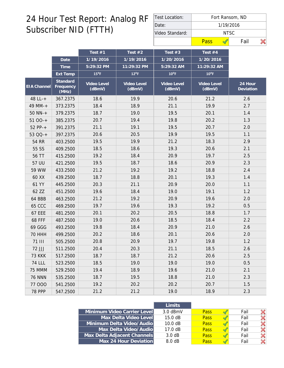| Test Location:  | Fort Ransom, ND |      |  |  |  |  |  |  |  |
|-----------------|-----------------|------|--|--|--|--|--|--|--|
| Date:           | 1/19/2016       |      |  |  |  |  |  |  |  |
| Video Standard: | NTSC            |      |  |  |  |  |  |  |  |
|                 | Pass            | Fail |  |  |  |  |  |  |  |

|                    |                                | Test #1               | Test $#2$             | Test $#3$             | Test $#4$             |                      |
|--------------------|--------------------------------|-----------------------|-----------------------|-----------------------|-----------------------|----------------------|
|                    | Date                           | 1/19/2016             | 1/19/2016             | 1/20/2016             | 1/20/2016             |                      |
|                    | Time                           | 5:29:32 PM            | 11:29:32 PM           | 5:29:32 AM            | 11:29:32 AM           |                      |
|                    | Ext Temp                       | $15^{\circ}$ F        | $12^{\circ}$ F        | $10^{\circ}$ F        | $10^{\circ}$ F        |                      |
| <b>EIA Channel</b> | Standard<br>Frequency<br>(MHz) | Video Level<br>(dBmV) | Video Level<br>(dBmV) | Video Level<br>(dBmV) | Video Level<br>(dBmV) | 24 Hour<br>Deviation |
| 48 LL-+            | 367.2375                       | 18.6                  | 19.9                  | 20.6                  | 21.2                  | 2.6                  |
| 49 MM-+            | 373.2375                       | 18.4                  | 18.9                  | 21.1                  | 19.9                  | 2.7                  |
| $50$ NN- $+$       | 379.2375                       | 18.7                  | 19.0                  | 19.5                  | 20.1                  | 1.4                  |
| $5100-+$           | 385.2375                       | 20.7                  | 19.4                  | 19.8                  | 20.2                  | 1.3                  |
| $52 PP-+$          | 391.2375                       | 21.1                  | 19.1                  | 19.5                  | 20.7                  | 2.0                  |
| 53 QQ-+            | 397.2375                       | 20.6                  | 20.5                  | 19.9                  | 19.5                  | 1.1                  |
| 54 RR              | 403.2500                       | 19.5                  | 19.9                  | 21.2                  | 18.3                  | 2.9                  |
| 55 SS              | 409.2500                       | 18.5                  | 18.6                  | 19.3                  | 20.6                  | 2.1                  |
| 56 TT              | 415.2500                       | 19.2                  | 18.4                  | 20.9                  | 19.7                  | 2.5                  |
| 57 UU              | 421.2500                       | 19.5                  | 18.7                  | 18.6                  | 20.9                  | 2.3                  |
| 59 WW              | 433.2500                       | 21.2                  | 19.2                  | 19.2                  | 18.8                  | 2.4                  |
| 60 XX              | 439.2500                       | 18.7                  | 18.8                  | 20.1                  | 19.3                  | 1.4                  |
| 61 YY              | 445.2500                       | 20.3                  | 21.1                  | 20.9                  | 20.0                  | 1.1                  |
| 62 ZZ              | 451.2500                       | 19.6                  | 18.4                  | 19.0                  | 19.1                  | 1.2                  |
| 64 BBB             | 463.2500                       | 21.2                  | 19.2                  | 20.9                  | 19.6                  | 2.0                  |
| <b>65 CCC</b>      | 469.2500                       | 19.7                  | 19.6                  | 19.3                  | 19.2                  | 0.5                  |
| <b>67 EEE</b>      | 481.2500                       | 20.1                  | 20.2                  | 20.5                  | 18.8                  | 1.7                  |
| <b>68 FFF</b>      | 487.2500                       | 19.0                  | 20.6                  | 18.5                  | 18.4                  | 2.2                  |
| 69 GGG             | 493.2500                       | 19.8                  | 18.4                  | 20.9                  | 21.0                  | 2.6                  |
| <b>70 HHH</b>      | 499.2500                       | 20.2                  | 18.6                  | 20.1                  | 20.6                  | 2.0                  |
| <b>71 III</b>      | 505.2500                       | 20.8                  | 20.9                  | 19.7                  | 19.8                  | 1.2                  |
| 72 JJJ             | 511.2500                       | 20.4                  | 20.3                  | 21.1                  | 18.5                  | 2.6                  |
| <b>73 KKK</b>      | 517.2500                       | 18.7                  | 18.7                  | 21.2                  | 20.6                  | 2.5                  |
| <b>74 LLL</b>      | 523.2500                       | 18.5                  | 19.0                  | 19.0                  | 19.0                  | 0.5                  |
| 75 MMM             | 529.2500                       | 19.4                  | 18.9                  | 19.6                  | 21.0                  | 2.1                  |
| <b>76 NNN</b>      | 535.2500                       | 18.7                  | 19.5                  | 18.8                  | 21.0                  | 2.3                  |
| 77 000             | 541.2500                       | 19.2                  | 20.2                  | 20.2                  | 20.7                  | 1.5                  |
| <b>78 PPP</b>      | 547.2500                       | 21.2                  | 21.2                  | 19.0                  | 18.9                  | 2.3                  |

|                             | Limits     |      |      |  |
|-----------------------------|------------|------|------|--|
| Minimum Video Carrier Level | $3.0$ dBmV | Pass | Fail |  |
| Max Delta Video Level       | 15.0 dB    | Pass | Fail |  |
| Minimum Delta Video/Audio   | 10.0 dB    | Pass | Fail |  |
| Max Delta Video/Audio       | 17.0 dB    | Pass | Fail |  |
| Max Delta Adjacent Channels | 3.0 dB     | Pass | Fail |  |
| Max 24 Hour Deviation       | 8.0 dB     | Pass | Fail |  |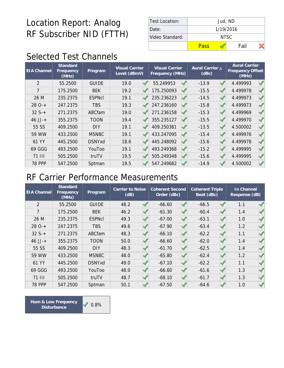| Test Location:  | Jud, ND   |      |  |  |  |  |  |  |  |
|-----------------|-----------|------|--|--|--|--|--|--|--|
| Date:           | 1/19/2016 |      |  |  |  |  |  |  |  |
| Video Standard: | NTSC.     |      |  |  |  |  |  |  |  |
|                 | Pass      | Fail |  |  |  |  |  |  |  |

### Selected Test Channels

| <b>EIA Channel</b> | Standard<br>Frequency<br>(MHz) | Program       |      | <b>Visual Carrier</b><br>Aural Carrier A<br><b>Visual Carrier</b><br>Level (dBmV)<br>(dBc)<br>Frequency (MHz) |            |  |         |  |          | <b>Aural Carrier</b><br>Frequency Offset |
|--------------------|--------------------------------|---------------|------|---------------------------------------------------------------------------------------------------------------|------------|--|---------|--|----------|------------------------------------------|
| $\overline{2}$     | 55.2500                        | <b>GUIDE</b>  | 19.0 |                                                                                                               | 55.249953  |  | $-13.9$ |  | 4.499993 |                                          |
| 7                  | 175.2500                       | <b>BEK</b>    | 19.2 |                                                                                                               | 175.250093 |  | $-15.5$ |  | 4.499978 |                                          |
| 26 M               | 235.2375                       | <b>ESPNcI</b> | 19.1 |                                                                                                               | 235.236223 |  | $-14.5$ |  | 4.499973 |                                          |
| $280-+$            | 247.2375                       | <b>TBS</b>    | 19.3 |                                                                                                               | 247.236160 |  | $-15.8$ |  | 4.499973 |                                          |
| $32S+$             | 271.2375                       | ABCfam        | 19.0 |                                                                                                               | 271.236158 |  | $-15.3$ |  | 4.499969 |                                          |
| $46$ JJ-+          | 355.2375                       | <b>TOON</b>   | 19.4 |                                                                                                               | 355.235127 |  | $-15.5$ |  | 4.499970 |                                          |
| 55 SS              | 409.2500                       | <b>DIY</b>    | 19.1 |                                                                                                               | 409.250381 |  | $-13.5$ |  | 4.500002 |                                          |
| 59 WW              | 433.2500                       | <b>MSNBC</b>  | 19.1 |                                                                                                               | 433.247095 |  | $-15.4$ |  | 4.499976 |                                          |
| 61 YY              | 445.2500                       | <b>DSNYxd</b> | 18.6 |                                                                                                               | 445.248092 |  | $-15.6$ |  | 4.499978 |                                          |
| 69 GGG             | 493.2500                       | YouToo        | 19.1 |                                                                                                               | 493.249368 |  | $-15.2$ |  | 4.499995 |                                          |
| 71 III             | 505.2500                       | truTV         | 19.5 |                                                                                                               | 505.249348 |  | $-15.6$ |  | 4.499995 |                                          |
| <b>78 PPP</b>      | 547.2500                       | Sptman        | 19.5 |                                                                                                               | 547.249682 |  | $-14.9$ |  | 4.500002 |                                          |

#### RF Carrier Performance Measurements

| <b>EIA Channel</b> | <b>Standard</b><br>Frequency<br>(MHz) | Program       | <b>Carrier to Noise</b><br>(dB) |  | Coherent Second<br>Order (dBc) |  | <b>Coherent Triple</b><br>Beat (dBc) |  | In Channel<br>Response (dB) |  |
|--------------------|---------------------------------------|---------------|---------------------------------|--|--------------------------------|--|--------------------------------------|--|-----------------------------|--|
| $\overline{2}$     | 55.2500                               | <b>GUIDE</b>  | 48.2                            |  | $-66.60$                       |  | $-66.5$                              |  | 1.1                         |  |
| $\overline{7}$     | 175.2500                              | <b>BEK</b>    | 46.2                            |  | $-61.30$                       |  | $-60.4$                              |  | 1.4                         |  |
| 26 M               | 235.2375                              | <b>ESPNcI</b> | 49.3                            |  | $-67.00$                       |  | $-63.1$                              |  | 1.0                         |  |
| $280-+$            | 247.2375                              | <b>TBS</b>    | 49.6                            |  | $-67.90$                       |  | $-63.4$                              |  | 1.2                         |  |
| $32S+$             | 271.2375                              | ABCfam        | 48.3                            |  | $-66.10$                       |  | $-62.2$                              |  | 1.1                         |  |
| $46$ JJ-+          | 355.2375                              | <b>TOON</b>   | 50.0                            |  | $-66.60$                       |  | $-62.0$                              |  | 1.4                         |  |
| 55 SS              | 409.2500                              | <b>DIY</b>    | 48.3                            |  | $-61.70$                       |  | $-62.5$                              |  | 1.4                         |  |
| 59 WW              | 433.2500                              | <b>MSNBC</b>  | 48.0                            |  | $-65.80$                       |  | $-62.4$                              |  | 1.2                         |  |
| 61 YY              | 445.2500                              | <b>DSNYxd</b> | 49.0                            |  | $-67.10$                       |  | $-62.2$                              |  | 1.1                         |  |
| 69 GGG             | 493.2500                              | YouToo        | 48.0                            |  | $-66.60$                       |  | $-61.6$                              |  | 1.3                         |  |
| <b>71 III</b>      | 505.2500                              | truTV         | 48.7                            |  | $-68.10$                       |  | $-61.7$                              |  | 1.3                         |  |
| <b>78 PPP</b>      | 547.2500                              | Sptman        | 50.1                            |  | $-67.50$                       |  | $-64.6$                              |  | 1.0                         |  |

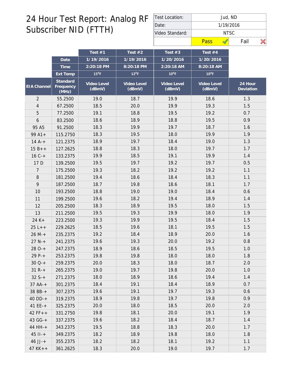| Test Location:  | Jud, ND   |  |      |  |  |  |  |  |  |  |
|-----------------|-----------|--|------|--|--|--|--|--|--|--|
| Date:           | 1/19/2016 |  |      |  |  |  |  |  |  |  |
| Video Standard: | NTSC      |  |      |  |  |  |  |  |  |  |
|                 | Pass      |  | Fail |  |  |  |  |  |  |  |

|                    |                                | Test #1               | Test $#2$             | Test $#3$             | Test $#4$             |                      |
|--------------------|--------------------------------|-----------------------|-----------------------|-----------------------|-----------------------|----------------------|
|                    | Date                           | 1/19/2016             | 1/19/2016             | 1/20/2016             | 1/20/2016             |                      |
|                    | Time                           | 2:20:18 PM            | 8:20:18 PM            | 2:20:18 AM            | 8:20:18 AM            |                      |
|                    | Ext Temp                       | $15^{\circ}$ F        | $12^{\circ}F$         | $10^{\circ}$ F        | $10^{\circ}$ F        |                      |
| <b>EIA Channel</b> | Standard<br>Frequency<br>(MHz) | Video Level<br>(dBmV) | Video Level<br>(dBmV) | Video Level<br>(dBmV) | Video Level<br>(dBmV) | 24 Hour<br>Deviation |
| $\overline{2}$     | 55.2500                        | 19.0                  | 18.7                  | 19.9                  | 18.6                  | 1.3                  |
| 4                  | 67.2500                        | 18.5                  | 20.0                  | 19.9                  | 19.3                  | 1.5                  |
| 5                  | 77.2500                        | 19.1                  | 18.8                  | 19.5                  | 19.2                  | 0.7                  |
| 6                  | 83.2500                        | 18.6                  | 18.9                  | 18.8                  | 19.5                  | 0.9                  |
| 95 A5              | 91.2500                        | 18.3                  | 19.9                  | 19.7                  | 18.7                  | 1.6                  |
| $99A1+$            | 115.2750                       | 18.3                  | 19.5                  | 18.0                  | 19.9                  | 1.9                  |
| $14A^{-+}$         | 121.2375                       | 18.9                  | 19.7                  | 18.4                  | 19.0                  | 1.3                  |
| $15B++$            | 127.2625                       | 18.8                  | 18.3                  | 18.0                  | 19.7                  | 1.7                  |
| $16C +$            | 133.2375                       | 19.9                  | 18.5                  | 19.1                  | 19.9                  | 1.4                  |
| 17 D               | 139.2500                       | 19.5                  | 19.7                  | 19.2                  | 19.7                  | 0.5                  |
| 7                  | 175.2500                       | 19.3                  | 18.2                  | 19.2                  | 19.2                  | 1.1                  |
| 8                  | 181.2500                       | 19.4                  | 18.6                  | 18.4                  | 18.3                  | 1.1                  |
| 9                  | 187.2500                       | 18.7                  | 19.8                  | 18.6                  | 18.1                  | 1.7                  |
| 10                 | 193.2500                       | 18.8                  | 19.0                  | 19.0                  | 18.4                  | 0.6                  |
| 11                 | 199.2500                       | 19.6                  | 18.2                  | 19.4                  | 18.9                  | 1.4                  |
| 12                 | 205.2500                       | 18.3                  | 18.9                  | 19.5                  | 18.0                  | 1.5                  |
| 13                 | 211.2500                       | 19.5                  | 19.3                  | 19.9                  | 18.0                  | 1.9                  |
| 24 K+              | 223.2500                       | 19.3                  | 19.9                  | 19.5                  | 18.4                  | 1.5                  |
| $25 L++$           | 229.2625                       | 18.5                  | 19.6                  | 18.1                  | 19.5                  | 1.5                  |
| $26 M +$           | 235.2375                       | 19.2                  | 18.4                  | 18.9                  | 20.0                  | 1.6                  |
| $27 N +$           | 241.2375                       | 19.6                  | 19.3                  | 20.0                  | 19.2                  | 0.8                  |
| $280-+$            | 247.2375                       | 18.9                  | 18.6                  | 18.5                  | 19.5                  | 1.0                  |
| $29P-+$            | 253.2375                       | 19.8                  | 19.8                  | 18.0                  | 18.0                  | 1.8                  |
| $30Q+$             | 259.2375                       | 20.0                  | 18.3                  | 18.0                  | 18.7                  | 2.0                  |
| $31 R +$           | 265.2375                       | 19.0                  | 19.7                  | 19.8                  | 20.0                  | 1.0                  |
| $32S+$             | 271.2375                       | 18.0                  | 18.9                  | 18.6                  | 19.4                  | 1.4                  |
| $37 AA-+$          | 301.2375                       | 18.4                  | 19.1                  | 18.4                  | 18.9                  | 0.7                  |
| 38 BB-+            | 307.2375                       | 19.6                  | 19.1                  | 19.7                  | 19.3                  | 0.6                  |
| $40$ DD-+          | 319.2375                       | 18.9                  | 19.8                  | 19.7                  | 19.8                  | 0.9                  |
| 41 $EE-+$          | 325.2375                       | 20.0                  | 18.0                  | 18.5                  | 20.0                  | 2.0                  |
| $42 FF++$          | 331.2750                       | 19.8                  | 18.1                  | 20.0                  | 19.1                  | 1.9                  |
| 43 GG-+            | 337.2375                       | 19.6                  | 18.2                  | 18.4                  | 18.7                  | 1.4                  |
| 44 HH-+            | 343.2375                       | 19.5                  | 18.8                  | 18.3                  | 20.0                  | 1.7                  |
| $45$ $11 - +$      | 349.2375                       | 18.2                  | 18.9                  | 19.8                  | 18.0                  | 1.8                  |
| $46$ JJ-+          | 355.2375                       | 18.2                  | 18.2                  | 18.1                  | 19.2                  | 1.1                  |
| $47$ KK + +        | 361.2625                       | 18.3                  | 20.0                  | 19.0                  | 19.7                  | 1.7                  |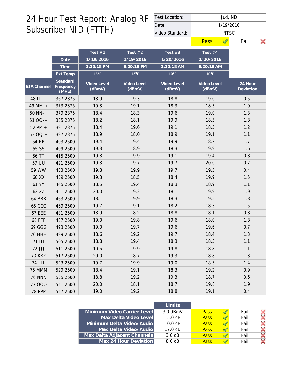| Test Location:  |                    | Jud, ND |  |  |  |  |  |  |  |
|-----------------|--------------------|---------|--|--|--|--|--|--|--|
| IDate:          | 1/19/2016<br>NTSC. |         |  |  |  |  |  |  |  |
| Video Standard: |                    |         |  |  |  |  |  |  |  |
|                 | Pass               | Fail    |  |  |  |  |  |  |  |

|                    |                                | Test #1               | Test $#2$             | Test $#3$             | Test #4               |                      |
|--------------------|--------------------------------|-----------------------|-----------------------|-----------------------|-----------------------|----------------------|
|                    | Date                           | 1/19/2016             | 1/19/2016             | 1/20/2016             | 1/20/2016             |                      |
|                    | Time                           | 2:20:18 PM            | 8:20:18 PM            | 2:20:18 AM            | 8:20:18 AM            |                      |
|                    | Ext Temp                       | $15^{\circ}$ F        | $12^{\circ}$ F        | $10^{\circ}$ F        | $10^{\circ}$ F        |                      |
| <b>EIA</b> Channel | Standard<br>Frequency<br>(MHz) | Video Level<br>(dBmV) | Video Level<br>(dBmV) | Video Level<br>(dBmV) | Video Level<br>(dBmV) | 24 Hour<br>Deviation |
| 48 LL-+            | 367.2375                       | 18.9                  | 19.3                  | 18.8                  | 19.0                  | 0.5                  |
| 49 MM-+            | 373.2375                       | 19.3                  | 19.1                  | 18.3                  | 18.3                  | 1.0                  |
| $50$ NN-+          | 379.2375                       | 18.4                  | 18.3                  | 19.6                  | 19.0                  | 1.3                  |
| $5100-+$           | 385.2375                       | 18.2                  | 18.1                  | 19.9                  | 18.3                  | 1.8                  |
| $52 PP-+$          | 391.2375                       | 18.4                  | 19.6                  | 19.1                  | 18.5                  | 1.2                  |
| 53 QQ-+            | 397.2375                       | 18.9                  | 18.0                  | 18.9                  | 19.1                  | 1.1                  |
| 54 RR              | 403.2500                       | 19.4                  | 19.4                  | 19.9                  | 18.2                  | 1.7                  |
| 55 SS              | 409.2500                       | 19.3                  | 18.9                  | 18.3                  | 19.9                  | 1.6                  |
| 56 TT              | 415.2500                       | 19.8                  | 19.9                  | 19.1                  | 19.4                  | 0.8                  |
| 57 UU              | 421.2500                       | 19.3                  | 19.7                  | 19.7                  | 20.0                  | 0.7                  |
| 59 WW              | 433.2500                       | 19.8                  | 19.9                  | 19.7                  | 19.5                  | 0.4                  |
| 60 XX              | 439.2500                       | 19.3                  | 18.5                  | 18.4                  | 19.9                  | 1.5                  |
| 61 YY              | 445.2500                       | 18.5                  | 19.4                  | 18.3                  | 18.9                  | 1.1                  |
| 62 ZZ              | 451.2500                       | 20.0                  | 19.3                  | 18.1                  | 19.9                  | 1.9                  |
| 64 BBB             | 463.2500                       | 18.1                  | 19.9                  | 18.3                  | 19.5                  | 1.8                  |
| <b>65 CCC</b>      | 469.2500                       | 19.7                  | 19.1                  | 18.2                  | 18.3                  | 1.5                  |
| <b>67 EEE</b>      | 481.2500                       | 18.9                  | 18.2                  | 18.8                  | 18.1                  | 0.8                  |
| <b>68 FFF</b>      | 487.2500                       | 19.0                  | 19.8                  | 19.6                  | 18.0                  | 1.8                  |
| 69 GGG             | 493.2500                       | 19.0                  | 19.7                  | 19.6                  | 19.6                  | 0.7                  |
| <b>70 HHH</b>      | 499.2500                       | 18.6                  | 19.2                  | 19.7                  | 18.4                  | 1.3                  |
| <b>71 III</b>      | 505.2500                       | 18.8                  | 19.4                  | 18.3                  | 18.3                  | 1.1                  |
| 72 JJJ             | 511.2500                       | 19.5                  | 19.9                  | 19.8                  | 18.8                  | 1.1                  |
| <b>73 KKK</b>      | 517.2500                       | 20.0                  | 18.7                  | 19.3                  | 18.8                  | 1.3                  |
| <b>74 LLL</b>      | 523.2500                       | 19.7                  | 19.9                  | 19.0                  | 18.5                  | 1.4                  |
| 75 MMM             | 529.2500                       | 18.4                  | 19.1                  | 18.3                  | 19.2                  | 0.9                  |
| <b>76 NNN</b>      | 535.2500                       | 18.8                  | 19.2                  | 19.3                  | 18.7                  | 0.6                  |
| 77 000             | 541.2500                       | 20.0                  | 18.1                  | 18.7                  | 19.8                  | 1.9                  |
| <b>78 PPP</b>      | 547.2500                       | 19.0                  | 19.2                  | 18.8                  | 19.1                  | 0.4                  |

|                             | <b>Limits</b>     |             |      |  |
|-----------------------------|-------------------|-------------|------|--|
| Minimum Video Carrier Level | $3.0$ dBmV        | <b>Pass</b> | Fail |  |
| Max Delta Video Level       | 15.0 dB           | <b>Pass</b> | Fail |  |
| Minimum Delta Video/Audio   | 10.0 dB           | Pass        | Fail |  |
| Max Delta Video/Audio       | $17.0 \text{ dB}$ | <b>Pass</b> | Fail |  |
| Max Delta Adjacent Channels | 3.0 dB            | <b>Pass</b> | Fail |  |
| Max 24 Hour Deviation       | 8.0 dB            | Pass        | Fail |  |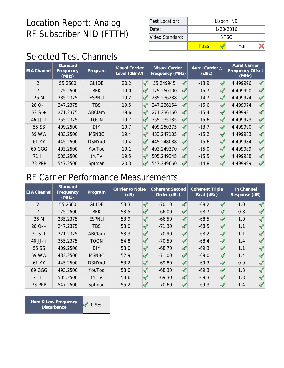| Test Location:  | Lisbon, ND |       |  |  |  |  |  |
|-----------------|------------|-------|--|--|--|--|--|
| Date:           | 1/20/2016  |       |  |  |  |  |  |
| Video Standard: |            | NTSC. |  |  |  |  |  |
|                 | Pass       | Fail  |  |  |  |  |  |

### Selected Test Channels

| <b>EIA Channel</b> | Standard<br>Frequency<br>(MHz) | Program       | <b>Visual Carrier</b><br>Level (dBmV) | <b>Visual Carrier</b><br>Frequency (MHz) | Aural Carrier A<br>(dBc) | <b>Aural Carrier</b><br>Frequency Offset<br>(MHz) |  |
|--------------------|--------------------------------|---------------|---------------------------------------|------------------------------------------|--------------------------|---------------------------------------------------|--|
| $\overline{2}$     | 55.2500                        | <b>GUIDE</b>  | 20.2                                  | 55.249945                                | $-13.9$                  | 4.499996                                          |  |
| 7                  | 175.2500                       | <b>BEK</b>    | 19.0                                  | 175.250100                               | $-15.7$                  | 4.499990                                          |  |
| 26 M               | 235.2375                       | <b>ESPNcI</b> | 19.2                                  | 235.236238                               | $-14.7$                  | 4.499974                                          |  |
| $280-+$            | 247.2375                       | <b>TBS</b>    | 19.5                                  | 247.236154                               | $-15.6$                  | 4.499974                                          |  |
| $32S+$             | 271.2375                       | ABCfam        | 19.6                                  | 271.236160                               | $-15.4$                  | 4.499981                                          |  |
| $46$ JJ-+          | 355.2375                       | <b>TOON</b>   | 19.7                                  | 355.235135                               | $-15.6$                  | 4.499973                                          |  |
| 55 SS              | 409.2500                       | <b>DIY</b>    | 19.7                                  | 409.250375                               | $-13.7$                  | 4.499990                                          |  |
| 59 WW              | 433.2500                       | <b>MSNBC</b>  | 19.4                                  | 433.247105                               | $-15.2$                  | 4.499983                                          |  |
| 61 YY              | 445.2500                       | <b>DSNYxd</b> | 19.4                                  | 445.248088                               | $-15.6$                  | 4.499984                                          |  |
| 69 GGG             | 493.2500                       | YouToo        | 19.1                                  | 493.249370                               | $-15.0$                  | 4.499989                                          |  |
| 71 III             | 505.2500                       | truTV         | 19.5                                  | 505.249345                               | $-15.5$                  | 4.499988                                          |  |
| <b>78 PPP</b>      | 547.2500                       | Sptman        | 20.3                                  | 547.249660                               | $-14.8$                  | 4.499999                                          |  |

#### RF Carrier Performance Measurements

| <b>EIA Channel</b> | <b>Standard</b><br>Frequency<br>(MHz) | Program       | Carrier to Noise<br>(dB) | <b>Coherent Second</b><br>Order (dBc) | <b>Coherent Triple</b><br>Beat (dBc) | In Channel<br>Response (dB) |  |
|--------------------|---------------------------------------|---------------|--------------------------|---------------------------------------|--------------------------------------|-----------------------------|--|
| $\overline{2}$     | 55.2500                               | <b>GUIDE</b>  | 53.3                     | $-70.10$                              | $-68.2$                              | 1.0                         |  |
| $\overline{7}$     | 175.2500                              | <b>BEK</b>    | 53.5                     | $-66.00$                              | $-68.7$                              | 0.8                         |  |
| 26 M               | 235.2375                              | <b>ESPNcI</b> | 53.9                     | $-66.50$                              | $-68.5$                              | 1.0                         |  |
| $280-+$            | 247.2375                              | <b>TBS</b>    | 53.0                     | $-71.30$                              | $-68.5$                              | 1.1                         |  |
| $32S+$             | 271.2375                              | ABCfam        | 53.3                     | $-70.90$                              | $-68.2$                              | 1.1                         |  |
| $46$ JJ-+          | 355.2375                              | <b>TOON</b>   | 54.8                     | $-70.50$                              | $-68.4$                              | 1.4                         |  |
| 55 SS              | 409.2500                              | <b>DIY</b>    | 53.0                     | $-68.70$                              | $-69.3$                              | 1.1                         |  |
| 59 WW              | 433.2500                              | <b>MSNBC</b>  | 52.9                     | $-71.00$                              | $-69.0$                              | 1.4                         |  |
| 61 YY              | 445.2500                              | <b>DSNYxd</b> | 53.2                     | $-69.80$                              | $-69.3$                              | 0.9                         |  |
| 69 GGG             | 493.2500                              | YouToo        | 53.0                     | $-68.30$                              | $-69.3$                              | 1.3                         |  |
| <b>71 III</b>      | 505.2500                              | truTV         | 53.6                     | $-69.30$                              | $-69.3$                              | 1.3                         |  |
| <b>78 PPP</b>      | 547.2500                              | Sptman        | 55.2                     | $-70.60$                              | $-69.3$                              | 1.4                         |  |

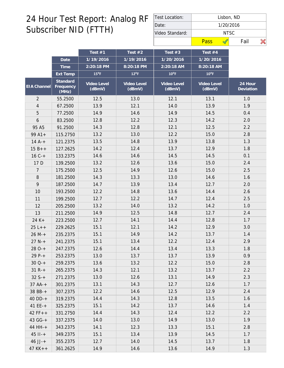| Test Location:  |                    | Lisbon, ND |  |  |  |  |  |  |  |
|-----------------|--------------------|------------|--|--|--|--|--|--|--|
| Date:           | 1/20/2016<br>NTSC. |            |  |  |  |  |  |  |  |
| Video Standard: |                    |            |  |  |  |  |  |  |  |
|                 | Pass               | Fail       |  |  |  |  |  |  |  |

|                |                                | Test $#1$             | Test $#2$             | Test $#3$             | Test #4               |                      |
|----------------|--------------------------------|-----------------------|-----------------------|-----------------------|-----------------------|----------------------|
|                | Date                           | 1/19/2016             | 1/19/2016             | 1/20/2016             | 1/20/2016             |                      |
|                | Time                           | 2:20:18 PM            | 8:20:18 PM            | 2:20:18 AM            | 8:20:18 AM            |                      |
|                | Ext Temp                       | $15^{\circ}$ F        | $12^{\circ}$ F        | $10^{\circ}$ F        | $10^{\circ}$ F        |                      |
| EIA Channel    | Standard<br>Frequency<br>(MHz) | Video Level<br>(dBmV) | Video Level<br>(dBmV) | Video Level<br>(dBmV) | Video Level<br>(dBmV) | 24 Hour<br>Deviation |
| $\overline{2}$ | 55.2500                        | 12.5                  | 13.0                  | 12.1                  | 13.1                  | 1.0                  |
| $\overline{4}$ | 67.2500                        | 13.9                  | 12.1                  | 14.0                  | 13.9                  | 1.9                  |
| 5              | 77.2500                        | 14.9                  | 14.6                  | 14.9                  | 14.5                  | 0.4                  |
| 6              | 83.2500                        | 12.8                  | 12.2                  | 12.3                  | 14.2                  | 2.0                  |
| 95 A5          | 91.2500                        | 14.3                  | 12.8                  | 12.1                  | 12.5                  | 2.2                  |
| $99A1+$        | 115.2750                       | 13.2                  | 13.0                  | 12.2                  | 15.0                  | 2.8                  |
| $14A^{-+}$     | 121.2375                       | 13.5                  | 14.8                  | 13.9                  | 13.8                  | 1.3                  |
| $15B++$        | 127.2625                       | 14.2                  | 12.4                  | 13.7                  | 12.9                  | 1.8                  |
| $16C +$        | 133.2375                       | 14.6                  | 14.6                  | 14.5                  | 14.5                  | 0.1                  |
| 17 D           | 139.2500                       | 13.2                  | 12.6                  | 13.6                  | 15.0                  | 2.4                  |
| 7              | 175.2500                       | 12.5                  | 14.9                  | 12.6                  | 15.0                  | 2.5                  |
| $\, 8$         | 181.2500                       | 14.3                  | 13.3                  | 13.0                  | 14.6                  | 1.6                  |
| 9              | 187.2500                       | 14.7                  | 13.9                  | 13.4                  | 12.7                  | 2.0                  |
| 10             | 193.2500                       | 12.2                  | 14.8                  | 13.6                  | 14.4                  | 2.6                  |
| 11             | 199.2500                       | 12.7                  | 12.2                  | 14.7                  | 12.4                  | 2.5                  |
| 12             | 205.2500                       | 13.2                  | 14.0                  | 13.2                  | 14.2                  | 1.0                  |
| 13             | 211.2500                       | 14.9                  | 12.5                  | 14.8                  | 12.7                  | 2.4                  |
| 24 K+          | 223.2500                       | 12.7                  | 14.1                  | 14.4                  | 12.8                  | 1.7                  |
| $25 L++$       | 229.2625                       | 15.1                  | 12.1                  | 14.2                  | 12.9                  | 3.0                  |
| $26 M +$       | 235.2375                       | 15.1                  | 14.9                  | 14.2                  | 13.7                  | 1.4                  |
| $27 N +$       | 241.2375                       | 15.1                  | 13.4                  | 12.2                  | 12.4                  | 2.9                  |
| $280-+$        | 247.2375                       | 12.6                  | 14.4                  | 13.4                  | 13.3                  | 1.8                  |
| 29 P-+         | 253.2375                       | 13.0                  | 13.7                  | 13.7                  | 13.9                  | 0.9                  |
| $30Q-+$        | 259.2375                       | 13.6                  | 13.2                  | 12.2                  | 15.0                  | 2.8                  |
| $31 R +$       | 265.2375                       | 14.3                  | 12.1                  | 13.2                  | 13.7                  | 2.2                  |
| $32S+$         | 271.2375                       | 13.0                  | 12.6                  | 13.1                  | 14.9                  | 2.3                  |
| $37 AA-+$      | 301.2375                       | 13.1                  | 14.3                  | 12.7                  | 12.6                  | 1.7                  |
| 38 BB-+        | 307.2375                       | 12.2                  | 14.6                  | 12.5                  | 12.9                  | 2.4                  |
| 40 DD-+        | 319.2375                       | 14.4                  | 14.3                  | 12.8                  | 13.5                  | 1.6                  |
| $41EE++$       | 325.2375                       | 15.1                  | 14.2                  | 13.7                  | 14.6                  | 1.4                  |
| $42 FF++$      | 331.2750                       | 14.4                  | 14.3                  | 12.4                  | 12.2                  | 2.2                  |
| 43 GG-+        | 337.2375                       | 14.0                  | 13.0                  | 14.9                  | 13.0                  | 1.9                  |
| 44 HH-+        | 343.2375                       | 14.1                  | 12.3                  | 13.3                  | 15.1                  | 2.8                  |
| $45$ $11 - +$  | 349.2375                       | 15.1                  | 13.4                  | 13.9                  | 14.5                  | 1.7                  |
| $46$ JJ-+      | 355.2375                       | 12.7                  | 14.0                  | 14.5                  | 13.7                  | 1.8                  |
| $47$ KK + +    | 361.2625                       | 14.9                  | 14.6                  | 13.6                  | 14.9                  | 1.3                  |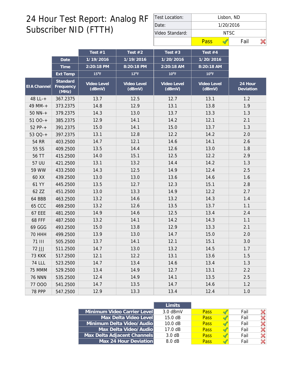| Test Location:  | Lisbon, ND |           |      |  |  |  |  |  |  |
|-----------------|------------|-----------|------|--|--|--|--|--|--|
| Date:           |            | 1/20/2016 |      |  |  |  |  |  |  |
| Video Standard: |            | NTSC      |      |  |  |  |  |  |  |
|                 | Pass       |           | Fail |  |  |  |  |  |  |

|                    |                                | Test $#1$             | Test $#2$             | Test $#3$             | Test $#4$             |                      |
|--------------------|--------------------------------|-----------------------|-----------------------|-----------------------|-----------------------|----------------------|
|                    | Date                           | 1/19/2016             | 1/19/2016             | 1/20/2016             | 1/20/2016             |                      |
|                    | Time                           | 2:20:18 PM            | 8:20:18 PM            | 2:20:18 AM            | 8:20:18 AM            |                      |
|                    | Ext Temp                       | $15^{\circ}$ F        | $12^{\circ}$ F        | $10^{\circ}$ F        | $10^{\circ}$ F        |                      |
| <b>EIA Channel</b> | Standard<br>Frequency<br>(MHz) | Video Level<br>(dBmV) | Video Level<br>(dBmV) | Video Level<br>(dBmV) | Video Level<br>(dBmV) | 24 Hour<br>Deviation |
| 48 LL-+            | 367.2375                       | 13.7                  | 12.5                  | 12.7                  | 13.1                  | 1.2                  |
| 49 MM-+            | 373.2375                       | 14.8                  | 12.9                  | 13.1                  | 13.8                  | 1.9                  |
| $50$ NN- $+$       | 379.2375                       | 14.3                  | 13.0                  | 13.7                  | 13.3                  | 1.3                  |
| $5100-+$           | 385.2375                       | 12.9                  | 14.1                  | 14.2                  | 12.1                  | 2.1                  |
| $52 PP-+$          | 391.2375                       | 15.0                  | 14.1                  | 15.0                  | 13.7                  | 1.3                  |
| 53 QQ-+            | 397.2375                       | 13.1                  | 12.8                  | 12.2                  | 14.2                  | 2.0                  |
| 54 RR              | 403.2500                       | 14.7                  | 12.1                  | 14.6                  | 14.1                  | 2.6                  |
| 55 SS              | 409.2500                       | 13.5                  | 14.4                  | 12.6                  | 13.0                  | 1.8                  |
| 56 TT              | 415.2500                       | 14.0                  | 15.1                  | 12.5                  | 12.2                  | 2.9                  |
| 57 UU              | 421.2500                       | 13.1                  | 13.2                  | 14.4                  | 14.2                  | 1.3                  |
| 59 WW              | 433.2500                       | 14.3                  | 12.5                  | 14.9                  | 12.4                  | 2.5                  |
| 60 XX              | 439.2500                       | 13.0                  | 13.0                  | 13.6                  | 14.6                  | 1.6                  |
| 61 YY              | 445.2500                       | 13.5                  | 12.7                  | 12.3                  | 15.1                  | 2.8                  |
| 62 ZZ              | 451.2500                       | 13.0                  | 13.3                  | 14.9                  | 12.2                  | 2.7                  |
| 64 BBB             | 463.2500                       | 13.2                  | 14.6                  | 13.2                  | 14.3                  | 1.4                  |
| <b>65 CCC</b>      | 469.2500                       | 13.2                  | 12.6                  | 13.5                  | 13.7                  | 1.1                  |
| <b>67 EEE</b>      | 481.2500                       | 14.9                  | 14.6                  | 12.5                  | 13.4                  | 2.4                  |
| <b>68 FFF</b>      | 487.2500                       | 13.2                  | 14.1                  | 14.2                  | 14.3                  | 1.1                  |
| 69 GGG             | 493.2500                       | 15.0                  | 13.8                  | 12.9                  | 13.3                  | 2.1                  |
| <b>70 HHH</b>      | 499.2500                       | 13.9                  | 13.0                  | 14.7                  | 15.0                  | 2.0                  |
| <b>71 III</b>      | 505.2500                       | 13.7                  | 14.1                  | 12.1                  | 15.1                  | 3.0                  |
| 72 JJJ             | 511.2500                       | 14.7                  | 13.0                  | 13.2                  | 14.5                  | 1.7                  |
| <b>73 KKK</b>      | 517.2500                       | 12.1                  | 12.2                  | 13.1                  | 13.6                  | 1.5                  |
| 74 LLL             | 523.2500                       | 14.7                  | 13.4                  | 14.6                  | 13.4                  | 1.3                  |
| 75 MMM             | 529.2500                       | 13.4                  | 14.9                  | 12.7                  | 13.1                  | 2.2                  |
| <b>76 NNN</b>      | 535.2500                       | 12.4                  | 14.9                  | 14.1                  | 13.5                  | 2.5                  |
| 77 000             | 541.2500                       | 14.7                  | 13.5                  | 14.7                  | 14.6                  | 1.2                  |
| <b>78 PPP</b>      | 547.2500                       | 12.9                  | 13.3                  | 13.4                  | 12.4                  | $1.0$                |

|                             | <b>Limits</b>     |             |      |  |
|-----------------------------|-------------------|-------------|------|--|
| Minimum Video Carrier Level | $3.0$ dBmV        | <b>Pass</b> | Fail |  |
| Max Delta Video Level       | 15.0 dB           | <b>Pass</b> | Fail |  |
| Minimum Delta Video/Audio   | 10.0 dB           | Pass        | Fail |  |
| Max Delta Video/Audio       | $17.0 \text{ dB}$ | <b>Pass</b> | Fail |  |
| Max Delta Adjacent Channels | 3.0 dB            | <b>Pass</b> | Fail |  |
| Max 24 Hour Deviation       | 8.0 dB            | Pass        | Fail |  |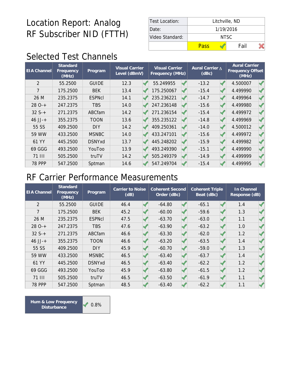| Test Location:  | Litchville, ND |      |  |  |  |  |  |
|-----------------|----------------|------|--|--|--|--|--|
| Date:           | 1/19/2016      |      |  |  |  |  |  |
| Video Standard: | NTSC.          |      |  |  |  |  |  |
|                 | Pass           | Fail |  |  |  |  |  |

### Selected Test Channels

| <b>EIA Channel</b> | Standard<br>Frequency<br>(MHz) | Program       | <b>Visual Carrier</b><br>Level (dBmV) | <b>Visual Carrier</b><br>Frequency (MHz) |  | Aural Carrier A<br>(dBc) |  | <b>Aural Carrier</b><br>Frequency Offset<br>(MHz) |  |
|--------------------|--------------------------------|---------------|---------------------------------------|------------------------------------------|--|--------------------------|--|---------------------------------------------------|--|
| $\overline{2}$     | 55.2500                        | <b>GUIDE</b>  | 12.3                                  | 55.249955                                |  | $-13.2$                  |  | 4.500007                                          |  |
| 7                  | 175.2500                       | <b>BEK</b>    | 13.4                                  | 175.250067                               |  | $-15.4$                  |  | 4.499990                                          |  |
| 26 M               | 235.2375                       | <b>ESPNcI</b> | 14.1                                  | 235.236221                               |  | $-14.7$                  |  | 4.499964                                          |  |
| $280-+$            | 247.2375                       | <b>TBS</b>    | 14.0                                  | 247.236148                               |  | $-15.6$                  |  | 4.499980                                          |  |
| $32S+$             | 271.2375                       | ABCfam        | 14.2                                  | 271.236154                               |  | $-15.4$                  |  | 4.499972                                          |  |
| $46$ JJ-+          | 355.2375                       | <b>TOON</b>   | 13.6                                  | 355.235122                               |  | $-14.8$                  |  | 4.499969                                          |  |
| 55 SS              | 409.2500                       | <b>DIY</b>    | 14.2                                  | 409.250361                               |  | $-14.0$                  |  | 4.500012                                          |  |
| 59 WW              | 433.2500                       | <b>MSNBC</b>  | 14.0                                  | 433.247101                               |  | $-15.6$                  |  | 4.499972                                          |  |
| 61 YY              | 445.2500                       | <b>DSNYxd</b> | 13.7                                  | 445.248202                               |  | $-15.9$                  |  | 4.499982                                          |  |
| 69 GGG             | 493.2500                       | YouToo        | 13.9                                  | 493.249390                               |  | $-15.1$                  |  | 4.499990                                          |  |
| 71 III             | 505.2500                       | truTV         | 14.2                                  | 505.249379                               |  | $-14.9$                  |  | 4.499999                                          |  |
| <b>78 PPP</b>      | 547.2500                       | Sptman        | 14.6                                  | 547.249704                               |  | $-15.4$                  |  | 4.499995                                          |  |

#### RF Carrier Performance Measurements

| <b>EIA Channel</b> | Standard<br>Frequency<br>(MHz) | Program       | Carrier to Noise<br>(dB) |  | <b>Coherent Second</b><br>Order (dBc) | <b>Coherent Triple</b><br>Beat (dBc) |  | In Channel<br>Response (dB) |  |
|--------------------|--------------------------------|---------------|--------------------------|--|---------------------------------------|--------------------------------------|--|-----------------------------|--|
| $\overline{2}$     | 55.2500                        | <b>GUIDE</b>  | 46.4                     |  | $-64.80$                              | $-65.1$                              |  | 1.4                         |  |
| 7                  | 175.2500                       | <b>BEK</b>    | 45.2                     |  | $-60.00$                              | $-59.6$                              |  | 1.3                         |  |
| 26 M               | 235.2375                       | <b>ESPNcI</b> | 47.5                     |  | $-63.70$                              | $-63.0$                              |  | 1.1                         |  |
| $280-+$            | 247.2375                       | <b>TBS</b>    | 47.6                     |  | $-63.90$                              | $-63.2$                              |  | 1.0                         |  |
| $32S+$             | 271.2375                       | ABCfam        | 46.6                     |  | $-63.30$                              | $-62.0$                              |  | 1.2                         |  |
| $46$ JJ-+          | 355.2375                       | <b>TOON</b>   | 46.6                     |  | $-63.20$                              | $-63.5$                              |  | 1.4                         |  |
| 55 SS              | 409.2500                       | <b>DIY</b>    | 45.9                     |  | $-60.70$                              | $-59.0$                              |  | 1.3                         |  |
| 59 WW              | 433.2500                       | <b>MSNBC</b>  | 46.5                     |  | $-63.40$                              | $-63.7$                              |  | 1.4                         |  |
| 61 YY              | 445.2500                       | <b>DSNYxd</b> | 46.5                     |  | $-63.40$                              | $-62.2$                              |  | 1.2                         |  |
| 69 GGG             | 493.2500                       | YouToo        | 45.9                     |  | $-63.80$                              | $-61.5$                              |  | 1.2                         |  |
| <b>71 III</b>      | 505.2500                       | truTV         | 46.5                     |  | $-63.50$                              | $-61.9$                              |  | 1.1                         |  |
| <b>78 PPP</b>      | 547.2500                       | Sptman        | 48.5                     |  | $-63.40$                              | $-62.2$                              |  | 1.1                         |  |

 $0.8\%$ **Hum & Low Frequency Disturbance**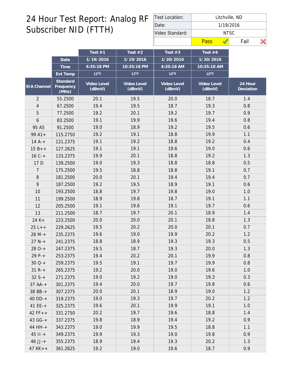| Test Location:  | Litchville, ND |      |  |  |  |  |  |
|-----------------|----------------|------|--|--|--|--|--|
| Date:           | 1/19/2016      |      |  |  |  |  |  |
| Video Standard: | NTSC.          |      |  |  |  |  |  |
|                 | Pass           | Fail |  |  |  |  |  |

|                |                                | Test $#1$             | Test $#2$             | Test $#3$             | Test #4               |                      |
|----------------|--------------------------------|-----------------------|-----------------------|-----------------------|-----------------------|----------------------|
|                | Date                           | 1/19/2016             | 1/19/2016             | 1/20/2016             | 1/20/2016             |                      |
|                | Time                           | 4:35:18 PM            | 10:35:18 PM           | 4:35:18 AM            | 10:35:18 AM           |                      |
|                | Ext Temp                       | $15^{\circ}$ F        | $12^{\circ}F$         | $10^{\circ}$ F        | $10^{\circ}$ F        |                      |
| EIA Channel    | Standard<br>Frequency<br>(MHz) | Video Level<br>(dBmV) | Video Level<br>(dBmV) | Video Level<br>(dBmV) | Video Level<br>(dBmV) | 24 Hour<br>Deviation |
| $\overline{2}$ | 55.2500                        | 20.1                  | 19.5                  | 20.0                  | 18.7                  | 1.4                  |
| $\overline{4}$ | 67.2500                        | 19.4                  | 19.5                  | 18.7                  | 19.3                  | 0.8                  |
| 5              | 77.2500                        | 19.2                  | 20.1                  | 19.2                  | 19.7                  | 0.9                  |
| 6              | 83.2500                        | 19.1                  | 19.9                  | 19.6                  | 19.4                  | 0.8                  |
| 95 A5          | 91.2500                        | 19.0                  | 18.9                  | 19.2                  | 19.5                  | 0.6                  |
| $99A1+$        | 115.2750                       | 19.2                  | 19.1                  | 18.8                  | 19.9                  | 1.1                  |
| $14A^{-+}$     | 121.2375                       | 19.1                  | 19.2                  | 18.8                  | 19.2                  | 0.4                  |
| $15B++$        | 127.2625                       | 19.1                  | 19.1                  | 19.6                  | 19.0                  | 0.6                  |
| $16C +$        | 133.2375                       | 19.9                  | 20.1                  | 18.8                  | 19.2                  | 1.3                  |
| 17 D           | 139.2500                       | 19.0                  | 19.3                  | 18.8                  | 18.8                  | 0.5                  |
| 7              | 175.2500                       | 19.5                  | 18.8                  | 18.8                  | 19.1                  | 0.7                  |
| $\, 8$         | 181.2500                       | 20.0                  | 20.1                  | 19.4                  | 19.4                  | 0.7                  |
| 9              | 187.2500                       | 19.2                  | 19.5                  | 18.9                  | 19.1                  | 0.6                  |
| 10             | 193.2500                       | 18.8                  | 19.7                  | 19.8                  | 19.0                  | 1.0                  |
| 11             | 199.2500                       | 18.9                  | 19.8                  | 18.7                  | 19.1                  | 1.1                  |
| 12             | 205.2500                       | 19.1                  | 19.6                  | 19.1                  | 19.7                  | 0.6                  |
| 13             | 211.2500                       | 18.7                  | 19.7                  | 20.1                  | 18.9                  | 1.4                  |
| 24 K+          | 223.2500                       | 20.0                  | 20.0                  | 20.1                  | 18.8                  | 1.3                  |
| $25 L++$       | 229.2625                       | 19.5                  | 20.2                  | 20.0                  | 20.1                  | 0.7                  |
| $26 M +$       | 235.2375                       | 19.6                  | 19.0                  | 19.9                  | 20.2                  | 1.2                  |
| $27 N +$       | 241.2375                       | 18.8                  | 18.9                  | 19.3                  | 19.3                  | 0.5                  |
| $280-+$        | 247.2375                       | 19.5                  | 18.7                  | 19.3                  | 20.0                  | 1.3                  |
| 29 P-+         | 253.2375                       | 19.4                  | 20.2                  | 20.1                  | 19.9                  | 0.8                  |
| $30Q-+$        | 259.2375                       | 19.5                  | 19.1                  | 19.7                  | 19.9                  | 0.8                  |
| $31 R +$       | 265.2375                       | 19.2                  | 20.0                  | 19.0                  | 19.6                  | 1.0                  |
| $32S+$         | 271.2375                       | 19.0                  | 19.2                  | 19.0                  | 19.3                  | 0.3                  |
| $37 AA-+$      | 301.2375                       | 19.4                  | 20.0                  | 19.7                  | 19.8                  | 0.6                  |
| 38 BB-+        | 307.2375                       | 20.0                  | 20.1                  | 18.9                  | 19.0                  | 1.2                  |
| 40 DD-+        | 319.2375                       | 19.0                  | 19.3                  | 19.7                  | 20.2                  | 1.2                  |
| $41EE++$       | 325.2375                       | 19.6                  | 20.1                  | 19.9                  | 19.1                  | 1.0                  |
| $42 FF++$      | 331.2750                       | 20.2                  | 19.7                  | 19.6                  | 18.8                  | 1.4                  |
| 43 GG-+        | 337.2375                       | 19.8                  | 18.9                  | 19.4                  | 19.2                  | 0.9                  |
| 44 HH-+        | 343.2375                       | 19.0                  | 19.9                  | 19.5                  | 18.8                  | 1.1                  |
| $45$ $11 - +$  | 349.2375                       | 19.9                  | 19.3                  | 19.0                  | 19.8                  | 0.9                  |
| $46$ JJ-+      | 355.2375                       | 18.9                  | 19.4                  | 19.3                  | 20.2                  | 1.3                  |
| $47$ KK + +    | 361.2625                       | 19.2                  | 19.0                  | 19.6                  | 18.7                  | 0.9                  |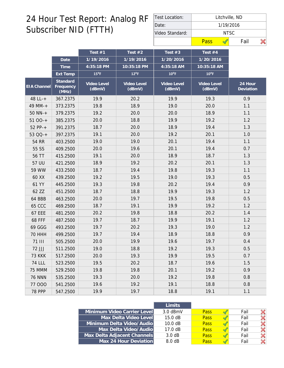| Test Location:  | Litchville, ND |      |  |  |  |  |  |  |
|-----------------|----------------|------|--|--|--|--|--|--|
| Date:           | 1/19/2016      |      |  |  |  |  |  |  |
| Video Standard: | NTSC.          |      |  |  |  |  |  |  |
|                 | Pass           | Fail |  |  |  |  |  |  |

|               |                                | Test #1               | Test $#2$             | Test $#3$             | Test #4               |                      |
|---------------|--------------------------------|-----------------------|-----------------------|-----------------------|-----------------------|----------------------|
|               | Date                           | 1/19/2016             | 1/19/2016             | 1/20/2016             | 1/20/2016             |                      |
|               | Time                           | 4:35:18 PM            | 10:35:18 PM           | 4:35:18 AM            | 10:35:18 AM           |                      |
|               | Ext Temp                       | $15^{\circ}$ F        | $12^{\circ}$ F        | $10^{\circ}$ F        | $10^{\circ}$ F        |                      |
| EIA Channel   | Standard<br>Frequency<br>(MHz) | Video Level<br>(dBmV) | Video Level<br>(dBmV) | Video Level<br>(dBmV) | Video Level<br>(dBmV) | 24 Hour<br>Deviation |
| 48 LL-+       | 367.2375                       | 19.9                  | 20.2                  | 19.9                  | 19.3                  | 0.9                  |
| 49 MM-+       | 373.2375                       | 19.8                  | 18.9                  | 19.0                  | 20.0                  | 1.1                  |
| $50$ NN- $+$  | 379.2375                       | 19.2                  | 20.0                  | 20.0                  | 18.9                  | 1.1                  |
| $5100-+$      | 385.2375                       | 20.0                  | 18.8                  | 19.9                  | 19.2                  | 1.2                  |
| $52 PP-+$     | 391.2375                       | 18.7                  | 20.0                  | 18.9                  | 19.4                  | 1.3                  |
| 53 QQ-+       | 397.2375                       | 19.1                  | 20.0                  | 19.2                  | 20.1                  | 1.0                  |
| 54 RR         | 403.2500                       | 19.0                  | 19.0                  | 20.1                  | 19.4                  | 1.1                  |
| 55 SS         | 409.2500                       | 20.0                  | 19.6                  | 20.1                  | 19.4                  | 0.7                  |
| 56 TT         | 415.2500                       | 19.1                  | 20.0                  | 18.9                  | 18.7                  | 1.3                  |
| 57 UU         | 421.2500                       | 18.9                  | 19.2                  | 20.2                  | 20.1                  | 1.3                  |
| 59 WW         | 433.2500                       | 18.7                  | 19.4                  | 19.8                  | 19.3                  | 1.1                  |
| 60 XX         | 439.2500                       | 19.2                  | 19.5                  | 19.0                  | 19.3                  | 0.5                  |
| 61 YY         | 445.2500                       | 19.3                  | 19.8                  | 20.2                  | 19.4                  | 0.9                  |
| 62 ZZ         | 451.2500                       | 18.7                  | 18.8                  | 19.9                  | 19.3                  | 1.2                  |
| 64 BBB        | 463.2500                       | 20.0                  | 19.7                  | 19.5                  | 19.8                  | 0.5                  |
| <b>65 CCC</b> | 469.2500                       | 18.7                  | 19.1                  | 19.9                  | 19.2                  | 1.2                  |
| <b>67 EEE</b> | 481.2500                       | 20.2                  | 19.8                  | 18.8                  | 20.2                  | 1.4                  |
| <b>68 FFF</b> | 487.2500                       | 19.7                  | 18.7                  | 19.9                  | 19.1                  | 1.2                  |
| 69 GGG        | 493.2500                       | 19.7                  | 20.2                  | 19.3                  | 19.0                  | 1.2                  |
| <b>70 HHH</b> | 499.2500                       | 19.7                  | 19.4                  | 18.9                  | 18.8                  | 0.9                  |
| <b>71 III</b> | 505.2500                       | 20.0                  | 19.9                  | 19.6                  | 19.7                  | 0.4                  |
| 72 JJJ        | 511.2500                       | 19.0                  | 18.8                  | 19.2                  | 19.3                  | 0.5                  |
| <b>73 KKK</b> | 517.2500                       | 20.0                  | 19.3                  | 19.9                  | 19.5                  | 0.7                  |
| <b>74 LLL</b> | 523.2500                       | 19.5                  | 20.2                  | 18.7                  | 19.6                  | 1.5                  |
| 75 MMM        | 529.2500                       | 19.8                  | 19.8                  | 20.1                  | 19.2                  | 0.9                  |
| <b>76 NNN</b> | 535.2500                       | 19.3                  | 20.0                  | 19.2                  | 19.8                  | 0.8                  |
| 77 000        | 541.2500                       | 19.6                  | 19.2                  | 19.1                  | 18.8                  | 0.8                  |
| <b>78 PPP</b> | 547.2500                       | 19.9                  | 19.7                  | 18.8                  | 19.1                  | 1.1                  |

|                             | Limits     |             |      |  |
|-----------------------------|------------|-------------|------|--|
| Minimum Video Carrier Level | $3.0$ dBmV | <b>Pass</b> | Fail |  |
| Max Delta Video Level       | 15.0 dB    | <b>Pass</b> | Fail |  |
| Minimum Delta Video/Audio   | 10.0 dB    | <b>Pass</b> | Fail |  |
| Max Delta Video/Audio       | 17.0 dB    | Pass        | Fail |  |
| Max Delta Adjacent Channels | 3.0 dB     | <b>Pass</b> | Fail |  |
| Max 24 Hour Deviation       | 8.0 dB     | Pass        | Fail |  |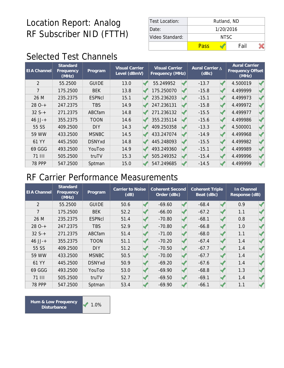| Test Location:  | Rutland, ND |      |  |  |  |  |  |
|-----------------|-------------|------|--|--|--|--|--|
| Date:           | 1/20/2016   |      |  |  |  |  |  |
| Video Standard: | NTSC.       |      |  |  |  |  |  |
|                 | Pass        | Fail |  |  |  |  |  |

### Selected Test Channels

| <b>EIA Channel</b> | Standard<br>Frequency<br>(MHz) | Program       | <b>Visual Carrier</b><br>Level (dBmV) | <b>Visual Carrier</b><br>Frequency (MHz) |  | Aural Carrier A<br>(dBc) |  | <b>Aural Carrier</b><br>Frequency Offset<br>(MHz) |  |
|--------------------|--------------------------------|---------------|---------------------------------------|------------------------------------------|--|--------------------------|--|---------------------------------------------------|--|
| $\overline{2}$     | 55.2500                        | <b>GUIDE</b>  | 13.0                                  | 55.249952                                |  | $-13.7$                  |  | 4.500019                                          |  |
| 7                  | 175.2500                       | <b>BEK</b>    | 13.8                                  | 175.250070                               |  | $-15.8$                  |  | 4.499999                                          |  |
| 26 M               | 235.2375                       | <b>ESPNcI</b> | 15.1                                  | 235.236203                               |  | $-15.1$                  |  | 4.499973                                          |  |
| $280-+$            | 247.2375                       | <b>TBS</b>    | 14.9                                  | 247.236131                               |  | $-15.8$                  |  | 4.499972                                          |  |
| $32S+$             | 271.2375                       | ABCfam        | 14.8                                  | 271.236132                               |  | $-15.5$                  |  | 4.499977                                          |  |
| $46$ JJ-+          | 355.2375                       | <b>TOON</b>   | 14.6                                  | 355.235114                               |  | $-15.6$                  |  | 4.499986                                          |  |
| 55 SS              | 409.2500                       | <b>DIY</b>    | 14.3                                  | 409.250358                               |  | $-13.3$                  |  | 4.500001                                          |  |
| 59 WW              | 433.2500                       | <b>MSNBC</b>  | 14.5                                  | 433.247074                               |  | $-14.9$                  |  | 4.499968                                          |  |
| 61 YY              | 445.2500                       | <b>DSNYxd</b> | 14.8                                  | 445.248093                               |  | $-15.5$                  |  | 4.499982                                          |  |
| 69 GGG             | 493.2500                       | YouToo        | 14.9                                  | 493.249360                               |  | $-15.1$                  |  | 4.499989                                          |  |
| 71 III             | 505.2500                       | truTV         | 15.3                                  | 505.249352                               |  | $-15.4$                  |  | 4.499996                                          |  |
| <b>78 PPP</b>      | 547.2500                       | Sptman        | 15.0                                  | 547.249685                               |  | $-14.5$                  |  | 4.499999                                          |  |

#### RF Carrier Performance Measurements

| <b>EIA Channel</b> | Standard<br>Frequency<br>(MHz) | Program       | Carrier to Noise<br>(dB) |  | <b>Coherent Second</b><br>Order (dBc) | <b>Coherent Triple</b><br>Beat (dBc) |  | In Channel<br>Response (dB) |  |
|--------------------|--------------------------------|---------------|--------------------------|--|---------------------------------------|--------------------------------------|--|-----------------------------|--|
| $\overline{2}$     | 55.2500                        | <b>GUIDE</b>  | 50.6                     |  | $-69.60$                              | $-68.4$                              |  | 0.9                         |  |
| 7                  | 175.2500                       | <b>BEK</b>    | 52.2                     |  | $-66.00$                              | $-67.2$                              |  | 1.1                         |  |
| 26 M               | 235.2375                       | <b>ESPNcI</b> | 51.4                     |  | $-70.80$                              | $-68.1$                              |  | 0.8                         |  |
| $280-+$            | 247.2375                       | <b>TBS</b>    | 52.9                     |  | $-70.80$                              | $-66.8$                              |  | 1.0                         |  |
| $32S+$             | 271.2375                       | ABCfam        | 51.4                     |  | $-71.00$                              | $-68.0$                              |  | 1.1                         |  |
| $46$ JJ-+          | 355.2375                       | <b>TOON</b>   | 51.1                     |  | $-70.20$                              | $-67.4$                              |  | 1.4                         |  |
| 55 SS              | 409.2500                       | <b>DIY</b>    | 51.2                     |  | $-70.50$                              | $-67.7$                              |  | 1.4                         |  |
| 59 WW              | 433.2500                       | <b>MSNBC</b>  | 50.5                     |  | $-70.00$                              | $-67.7$                              |  | 1.4                         |  |
| 61 YY              | 445.2500                       | <b>DSNYxd</b> | 50.9                     |  | $-69.20$                              | $-67.6$                              |  | 1.4                         |  |
| 69 GGG             | 493.2500                       | YouToo        | 53.0                     |  | $-69.90$                              | $-68.8$                              |  | 1.3                         |  |
| <b>71 III</b>      | 505.2500                       | truTV         | 52.7                     |  | $-69.50$                              | $-69.1$                              |  | 1.4                         |  |
| <b>78 PPP</b>      | 547.2500                       | Sptman        | 53.4                     |  | $-69.90$                              | $-66.1$                              |  | 1.1                         |  |

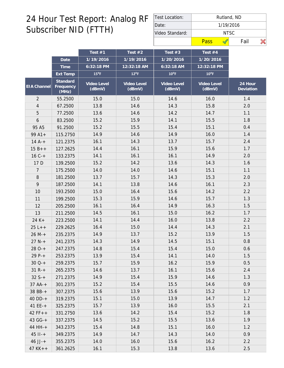| Test Location:  | Rutland, ND |      |  |  |  |  |  |  |
|-----------------|-------------|------|--|--|--|--|--|--|
| Date:           | 1/19/2016   |      |  |  |  |  |  |  |
| Video Standard: | NTSC.       |      |  |  |  |  |  |  |
|                 | Pass        | Fail |  |  |  |  |  |  |

|                |                                | Test $#1$             | Test $#2$             | Test $#3$             | Test #4               |                      |
|----------------|--------------------------------|-----------------------|-----------------------|-----------------------|-----------------------|----------------------|
|                | Date                           | 1/19/2016             | 1/19/2016             | 1/20/2016             | 1/20/2016             |                      |
|                | Time                           | 6:32:18 PM            | 12:32:18 AM           | 6:32:18 AM            | 12:32:18 PM           |                      |
|                | Ext Temp                       | $15^{\circ}$ F        | $12^{\circ}$ F        | $10^{\circ}$ F        | $10^{\circ}$ F        |                      |
| EIA Channel    | Standard<br>Frequency<br>(MHz) | Video Level<br>(dBmV) | Video Level<br>(dBmV) | Video Level<br>(dBmV) | Video Level<br>(dBmV) | 24 Hour<br>Deviation |
| $\overline{2}$ | 55.2500                        | 15.0                  | 15.0                  | 14.6                  | 16.0                  | 1.4                  |
| $\overline{4}$ | 67.2500                        | 13.8                  | 14.6                  | 14.3                  | 15.8                  | 2.0                  |
| 5              | 77.2500                        | 13.6                  | 14.6                  | 14.2                  | 14.7                  | 1.1                  |
| 6              | 83.2500                        | 15.2                  | 15.9                  | 14.1                  | 15.5                  | 1.8                  |
| 95 A5          | 91.2500                        | 15.2                  | 15.5                  | 15.4                  | 15.1                  | 0.4                  |
| $99A1+$        | 115.2750                       | 14.9                  | 14.6                  | 14.9                  | 16.0                  | 1.4                  |
| $14A^{-+}$     | 121.2375                       | 16.1                  | 14.3                  | 13.7                  | 15.7                  | 2.4                  |
| $15B++$        | 127.2625                       | 14.4                  | 16.1                  | 15.9                  | 15.6                  | 1.7                  |
| $16C +$        | 133.2375                       | 14.1                  | 16.1                  | 16.1                  | 14.9                  | 2.0                  |
| 17 D           | 139.2500                       | 15.2                  | 14.2                  | 13.6                  | 14.3                  | 1.6                  |
| 7              | 175.2500                       | 14.0                  | 14.0                  | 14.6                  | 15.1                  | 1.1                  |
| $\, 8$         | 181.2500                       | 13.7                  | 15.7                  | 14.3                  | 15.3                  | 2.0                  |
| 9              | 187.2500                       | 14.1                  | 13.8                  | 14.6                  | 16.1                  | 2.3                  |
| 10             | 193.2500                       | 15.0                  | 16.4                  | 15.6                  | 14.2                  | 2.2                  |
| 11             | 199.2500                       | 15.3                  | 15.9                  | 14.6                  | 15.7                  | 1.3                  |
| 12             | 205.2500                       | 16.1                  | 16.4                  | 14.9                  | 16.3                  | 1.5                  |
| 13             | 211.2500                       | 14.5                  | 16.1                  | 15.0                  | 16.2                  | 1.7                  |
| 24 K+          | 223.2500                       | 14.1                  | 14.4                  | 16.0                  | 13.8                  | 2.2                  |
| $25 L++$       | 229.2625                       | 16.4                  | 15.0                  | 14.4                  | 14.3                  | 2.1                  |
| $26 M +$       | 235.2375                       | 14.9                  | 13.7                  | 15.2                  | 13.9                  | 1.5                  |
| $27 N +$       | 241.2375                       | 14.3                  | 14.9                  | 14.5                  | 15.1                  | 0.8                  |
| $280-+$        | 247.2375                       | 14.8                  | 15.4                  | 15.4                  | 15.0                  | 0.6                  |
| 29 P-+         | 253.2375                       | 13.9                  | 15.4                  | 14.1                  | 14.0                  | 1.5                  |
| $30Q-+$        | 259.2375                       | 15.7                  | 15.9                  | 16.2                  | 15.9                  | 0.5                  |
| $31 R +$       | 265.2375                       | 14.6                  | 13.7                  | 16.1                  | 15.6                  | 2.4                  |
| $32S+$         | 271.2375                       | 14.9                  | 15.4                  | 15.9                  | 14.6                  | 1.3                  |
| $37 AA-+$      | 301.2375                       | 15.2                  | 15.4                  | 15.5                  | 14.6                  | 0.9                  |
| 38 BB-+        | 307.2375                       | 15.6                  | 13.9                  | 15.6                  | 15.2                  | 1.7                  |
| 40 DD-+        | 319.2375                       | 15.1                  | 15.0                  | 13.9                  | 14.7                  | 1.2                  |
| $41EE++$       | 325.2375                       | 15.7                  | 13.9                  | 16.0                  | 15.5                  | 2.1                  |
| $42 FF++$      | 331.2750                       | 13.6                  | 14.2                  | 15.4                  | 15.2                  | 1.8                  |
| 43 GG-+        | 337.2375                       | 14.5                  | 15.2                  | 15.5                  | 13.6                  | 1.9                  |
| 44 HH-+        | 343.2375                       | 15.4                  | 14.8                  | 15.1                  | 16.0                  | 1.2                  |
| $45$ $11 - +$  | 349.2375                       | 14.9                  | 14.7                  | 14.3                  | 14.0                  | 0.9                  |
| $46$ JJ-+      | 355.2375                       | 14.0                  | 16.0                  | 15.6                  | 16.2                  | 2.2                  |
| $47$ KK + +    | 361.2625                       | 16.1                  | 15.3                  | 13.8                  | 13.6                  | 2.5                  |